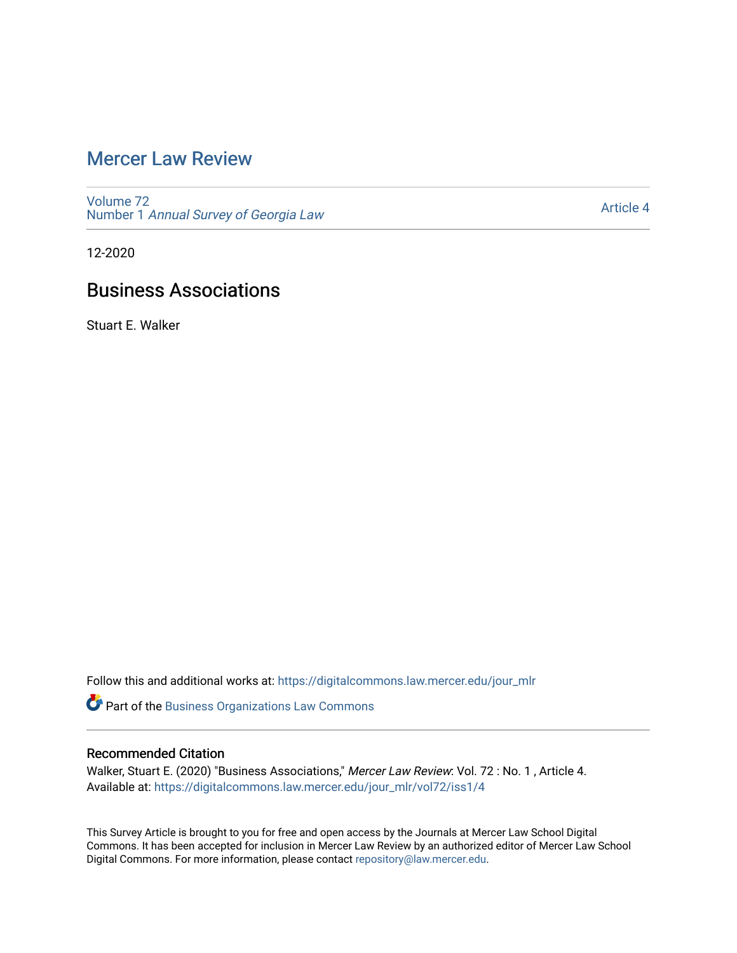## [Mercer Law Review](https://digitalcommons.law.mercer.edu/jour_mlr)

[Volume 72](https://digitalcommons.law.mercer.edu/jour_mlr/vol72) Number 1 [Annual Survey of Georgia Law](https://digitalcommons.law.mercer.edu/jour_mlr/vol72/iss1) 

[Article 4](https://digitalcommons.law.mercer.edu/jour_mlr/vol72/iss1/4) 

12-2020

# Business Associations

Stuart E. Walker

Follow this and additional works at: [https://digitalcommons.law.mercer.edu/jour\\_mlr](https://digitalcommons.law.mercer.edu/jour_mlr?utm_source=digitalcommons.law.mercer.edu%2Fjour_mlr%2Fvol72%2Fiss1%2F4&utm_medium=PDF&utm_campaign=PDFCoverPages)

Part of the [Business Organizations Law Commons](http://network.bepress.com/hgg/discipline/900?utm_source=digitalcommons.law.mercer.edu%2Fjour_mlr%2Fvol72%2Fiss1%2F4&utm_medium=PDF&utm_campaign=PDFCoverPages)

## Recommended Citation

Walker, Stuart E. (2020) "Business Associations," Mercer Law Review: Vol. 72 : No. 1 , Article 4. Available at: [https://digitalcommons.law.mercer.edu/jour\\_mlr/vol72/iss1/4](https://digitalcommons.law.mercer.edu/jour_mlr/vol72/iss1/4?utm_source=digitalcommons.law.mercer.edu%2Fjour_mlr%2Fvol72%2Fiss1%2F4&utm_medium=PDF&utm_campaign=PDFCoverPages)

This Survey Article is brought to you for free and open access by the Journals at Mercer Law School Digital Commons. It has been accepted for inclusion in Mercer Law Review by an authorized editor of Mercer Law School Digital Commons. For more information, please contact [repository@law.mercer.edu](mailto:repository@law.mercer.edu).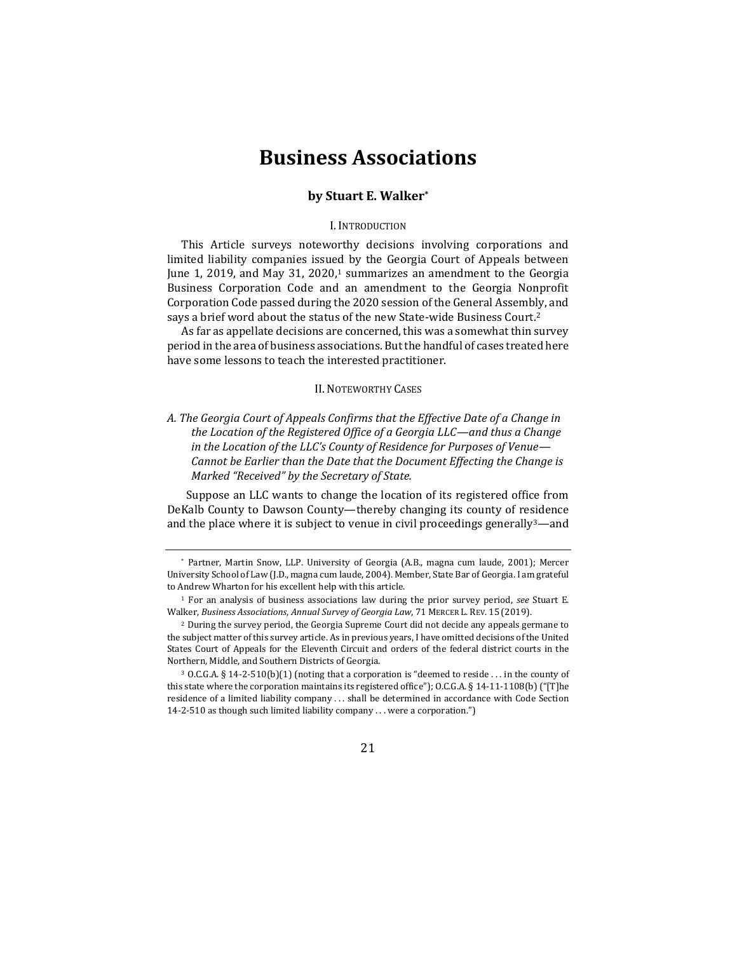## **Business Associations**

#### **by Stuart E. Walker\***

#### I. INTRODUCTION

This Article surveys noteworthy decisions involving corporations and limited liability companies issued by the Georgia Court of Appeals between June 1, 2019, and May 31, 2020, $1$  summarizes an amendment to the Georgia Business Corporation Code and an amendment to the Georgia Nonprofit Corporation Code passed during the 2020 session of the General Assembly, and says a brief word about the status of the new State-wide Business Court.<sup>2</sup>

As far as appellate decisions are concerned, this was a somewhat thin survey period in the area of business associations. But the handful of cases treated here have some lessons to teach the interested practitioner.

#### II. NOTEWORTHY CASES

*A. The Georgia Court of Appeals Confirms that the Effective Date of a Change in the Location of the Registered Office of a Georgia LLC—and thus a Change in the Location of the LLC's County of Residence for Purposes of Venue— Cannot be Earlier than the Date that the Document Effecting the Change is Marked "Received" by the Secretary of State.*

Suppose an LLC wants to change the location of its registered office from DeKalb County to Dawson County—thereby changing its county of residence and the place where it is subject to venue in civil proceedings generally  $3$ —and

21

<sup>\*</sup> Partner, Martin Snow, LLP. University of Georgia (A.B., magna cum laude, 2001); Mercer University School of Law (J.D., magna cum laude, 2004). Member, State Bar of Georgia. I am grateful to Andrew Wharton for his excellent help with this article.

<sup>1</sup> For an analysis of business associations law during the prior survey period, *see* Stuart E. Walker, *Business Associations*, *Annual Survey of Georgia Law*, 71 MERCER L. REV. 15 (2019).

<sup>2</sup> During the survey period, the Georgia Supreme Court did not decide any appeals germane to the subject matter of this survey article. As in previous years, I have omitted decisions of the United States Court of Appeals for the Eleventh Circuit and orders of the federal district courts in the Northern, Middle, and Southern Districts of Georgia.

<sup>3</sup> O.C.G.A. § 14-2-510(b)(1) (noting that a corporation is "deemed to reside . . . in the county of this state where the corporation maintains its registered office"); O.C.G.A. § 14-11-1108(b) ("[T]he residence of a limited liability company . . . shall be determined in accordance with Code Section 14-2-510 as though such limited liability company . . . were a corporation.")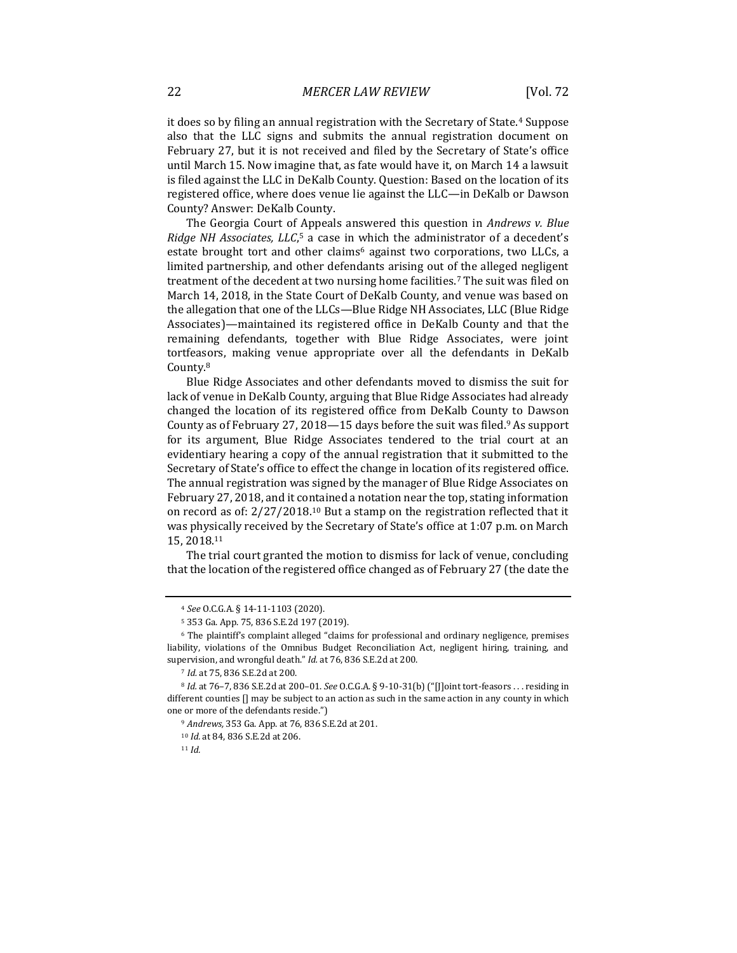it does so by filing an annual registration with the Secretary of State.<sup>4</sup> Suppose also that the LLC signs and submits the annual registration document on February 27, but it is not received and filed by the Secretary of State's office until March 15. Now imagine that, as fate would have it, on March 14 a lawsuit is filed against the LLC in DeKalb County. Question: Based on the location of its registered office, where does venue lie against the LLC—in DeKalb or Dawson County? Answer: DeKalb County.

The Georgia Court of Appeals answered this question in *Andrews v. Blue*  Ridge NH Associates, LLC,<sup>5</sup> a case in which the administrator of a decedent's estate brought tort and other claims<sup>6</sup> against two corporations, two LLCs, a limited partnership, and other defendants arising out of the alleged negligent treatment of the decedent at two nursing home facilities.<sup>7</sup> The suit was filed on March 14, 2018, in the State Court of DeKalb County, and venue was based on the allegation that one of the LLCs—Blue Ridge NH Associates, LLC (Blue Ridge Associates)—maintained its registered office in DeKalb County and that the remaining defendants, together with Blue Ridge Associates, were joint tortfeasors, making venue appropriate over all the defendants in DeKalb County.<sup>8</sup>

Blue Ridge Associates and other defendants moved to dismiss the suit for lack of venue in DeKalb County, arguing that Blue Ridge Associates had already changed the location of its registered office from DeKalb County to Dawson County as of February 27, 2018—15 days before the suit was filed.<sup>9</sup> As support for its argument, Blue Ridge Associates tendered to the trial court at an evidentiary hearing a copy of the annual registration that it submitted to the Secretary of State's office to effect the change in location of its registered office. The annual registration was signed by the manager of Blue Ridge Associates on February 27, 2018, and it contained a notation near the top, stating information on record as of: 2/27/2018. <sup>10</sup> But a stamp on the registration reflected that it was physically received by the Secretary of State's office at 1:07 p.m. on March 15, 2018.<sup>11</sup>

The trial court granted the motion to dismiss for lack of venue, concluding that the location of the registered office changed as of February 27 (the date the

<sup>4</sup> *See* O.C.G.A. § 14-11-1103 (2020).

<sup>5</sup> 353 Ga. App. 75, 836 S.E.2d 197 (2019).

<sup>6</sup> The plaintiff's complaint alleged "claims for professional and ordinary negligence, premises liability, violations of the Omnibus Budget Reconciliation Act, negligent hiring, training, and supervision, and wrongful death." *Id.* at 76, 836 S.E.2d at 200.

<sup>7</sup> *Id.* at 75, 836 S.E.2d at 200.

<sup>8</sup> *Id.* at 76–7, 836 S.E.2d at 200–01. *See* O.C.G.A. § 9-10-31(b) ("[J]oint tort-feasors . . . residing in different counties [] may be subject to an action as such in the same action in any county in which one or more of the defendants reside.")

<sup>9</sup> *Andrews,* 353 Ga. App. at 76, 836 S.E.2d at 201.

<sup>10</sup> *Id.* at 84, 836 S.E.2d at 206.

<sup>11</sup> *Id.*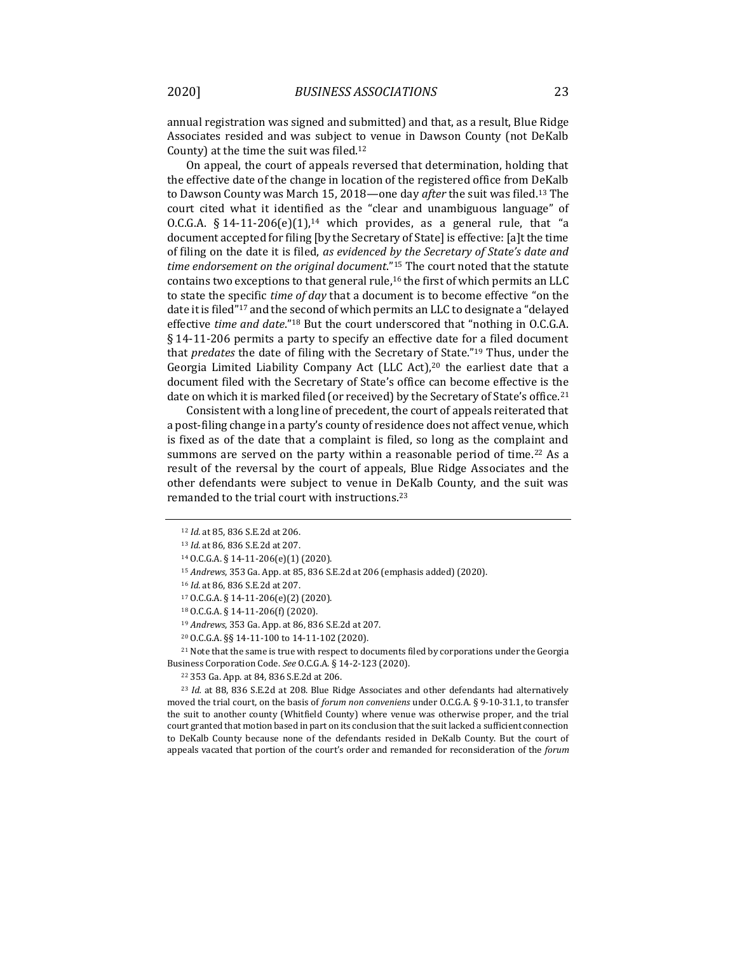annual registration was signed and submitted) and that, as a result, Blue Ridge Associates resided and was subject to venue in Dawson County (not DeKalb County) at the time the suit was filed.<sup>12</sup>

On appeal, the court of appeals reversed that determination, holding that the effective date of the change in location of the registered office from DeKalb to Dawson County was March 15, 2018—one day *after* the suit was filed.<sup>13</sup> The court cited what it identified as the "clear and unambiguous language" of O.C.G.A.  $§ 14-11-206(e)(1)$ ,<sup>14</sup> which provides, as a general rule, that "a document accepted for filing [by the Secretary of State] is effective: [a]t the time of filing on the date it is filed, *as evidenced by the Secretary of State's date and time endorsement on the original document*." <sup>15</sup> The court noted that the statute contains two exceptions to that general rule,<sup>16</sup> the first of which permits an LLC to state the specific *time of day* that a document is to become effective "on the date it is filed"<sup>17</sup> and the second of which permits an LLC to designate a "delayed effective *time and date*."<sup>18</sup> But the court underscored that "nothing in O.C.G.A. § 14-11-206 permits a party to specify an effective date for a filed document that *predates* the date of filing with the Secretary of State."<sup>19</sup> Thus, under the Georgia Limited Liability Company Act (LLC Act),<sup>20</sup> the earliest date that a document filed with the Secretary of State's office can become effective is the date on which it is marked filed (or received) by the Secretary of State's office.<sup>21</sup>

Consistent with a long line of precedent, the court of appeals reiterated that a post-filing change in a party's county of residence does not affect venue, which is fixed as of the date that a complaint is filed, so long as the complaint and summons are served on the party within a reasonable period of time.<sup>22</sup> As a result of the reversal by the court of appeals, Blue Ridge Associates and the other defendants were subject to venue in DeKalb County, and the suit was remanded to the trial court with instructions.<sup>23</sup>

<sup>21</sup> Note that the same is true with respect to documents filed by corporations under the Georgia Business Corporation Code. *See* O.C.G.A. § 14-2-123 (2020).

<sup>12</sup> *Id.* at 85, 836 S.E.2d at 206.

<sup>13</sup> *Id.* at 86, 836 S.E.2d at 207.

<sup>14</sup> O.C.G.A. § 14-11-206(e)(1) (2020).

<sup>15</sup> *Andrews*, 353 Ga. App. at 85, 836 S.E.2d at 206 (emphasis added) (2020).

<sup>16</sup> *Id.* at 86, 836 S.E.2d at 207.

<sup>17</sup> O.C.G.A. § 14-11-206(e)(2) (2020).

<sup>18</sup> O.C.G.A. § 14-11-206(f) (2020).

<sup>19</sup> *Andrews*, 353 Ga. App. at 86, 836 S.E.2d at 207.

<sup>20</sup> O.C.G.A. §§ 14-11-100 to 14-11-102 (2020).

<sup>22</sup> 353 Ga. App. at 84, 836 S.E.2d at 206.

<sup>23</sup> *Id.* at 88, 836 S.E.2d at 208. Blue Ridge Associates and other defendants had alternatively moved the trial court, on the basis of *forum non conveniens* under O.C.G.A. § 9-10-31.1, to transfer the suit to another county (Whitfield County) where venue was otherwise proper, and the trial court granted that motion based in part on its conclusion that the suit lacked a sufficient connection to DeKalb County because none of the defendants resided in DeKalb County. But the court of appeals vacated that portion of the court's order and remanded for reconsideration of the *forum*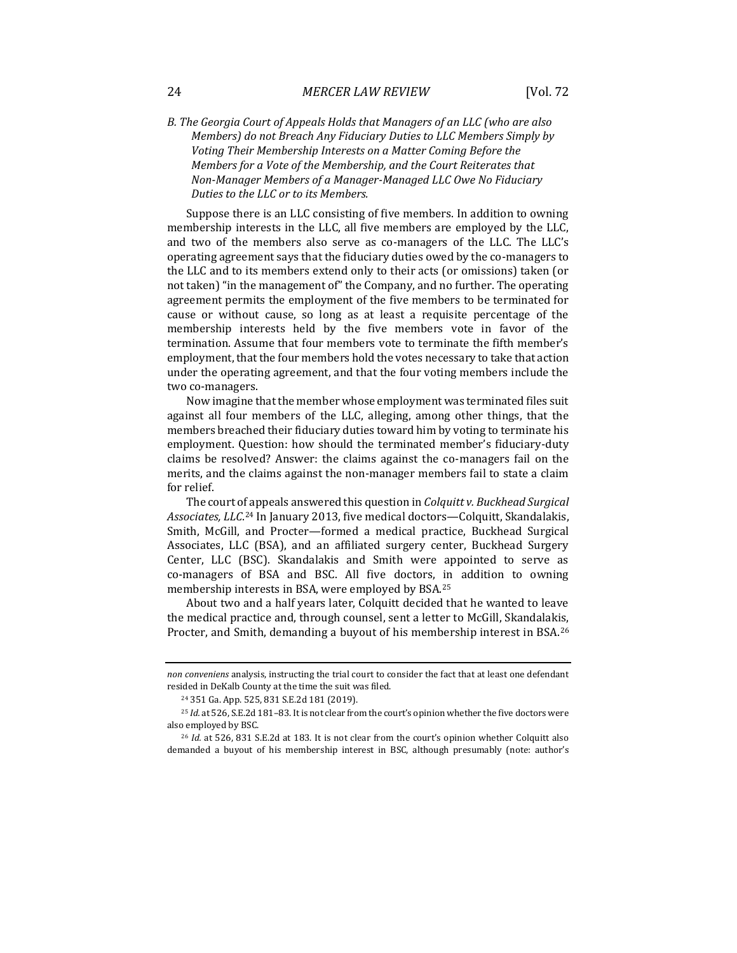### *B. The Georgia Court of Appeals Holds that Managers of an LLC (who are also Members) do not Breach Any Fiduciary Duties to LLC Members Simply by Voting Their Membership Interests on a Matter Coming Before the Members for a Vote of the Membership, and the Court Reiterates that Non-Manager Members of a Manager-Managed LLC Owe No Fiduciary Duties to the LLC or to its Members.*

Suppose there is an LLC consisting of five members. In addition to owning membership interests in the LLC, all five members are employed by the LLC, and two of the members also serve as co-managers of the LLC. The LLC's operating agreement says that the fiduciary duties owed by the co-managers to the LLC and to its members extend only to their acts (or omissions) taken (or not taken) "in the management of" the Company, and no further. The operating agreement permits the employment of the five members to be terminated for cause or without cause, so long as at least a requisite percentage of the membership interests held by the five members vote in favor of the termination. Assume that four members vote to terminate the fifth member's employment, that the four members hold the votes necessary to take that action under the operating agreement, and that the four voting members include the two co-managers.

Now imagine that the member whose employment was terminated files suit against all four members of the LLC, alleging, among other things, that the members breached their fiduciary duties toward him by voting to terminate his employment. Question: how should the terminated member's fiduciary-duty claims be resolved? Answer: the claims against the co-managers fail on the merits, and the claims against the non-manager members fail to state a claim for relief.

The court of appeals answered this question in *Colquitt v. Buckhead Surgical Associates, LLC*. <sup>24</sup> In January 2013, five medical doctors—Colquitt, Skandalakis, Smith, McGill, and Procter—formed a medical practice, Buckhead Surgical Associates, LLC (BSA), and an affiliated surgery center, Buckhead Surgery Center, LLC (BSC). Skandalakis and Smith were appointed to serve as co-managers of BSA and BSC. All five doctors, in addition to owning membership interests in BSA, were employed by BSA.<sup>25</sup>

About two and a half years later, Colquitt decided that he wanted to leave the medical practice and, through counsel, sent a letter to McGill, Skandalakis, Procter, and Smith, demanding a buyout of his membership interest in BSA.<sup>26</sup>

*non conveniens* analysis, instructing the trial court to consider the fact that at least one defendant resided in DeKalb County at the time the suit was filed.

<sup>24</sup> 351 Ga. App. 525, 831 S.E.2d 181 (2019).

<sup>25</sup> *Id.* at 526, S.E.2d 181–83. It is not clear from the court's opinion whether the five doctors were also employed by BSC.

<sup>26</sup> *Id.* at 526, 831 S.E.2d at 183. It is not clear from the court's opinion whether Colquitt also demanded a buyout of his membership interest in BSC, although presumably (note: author's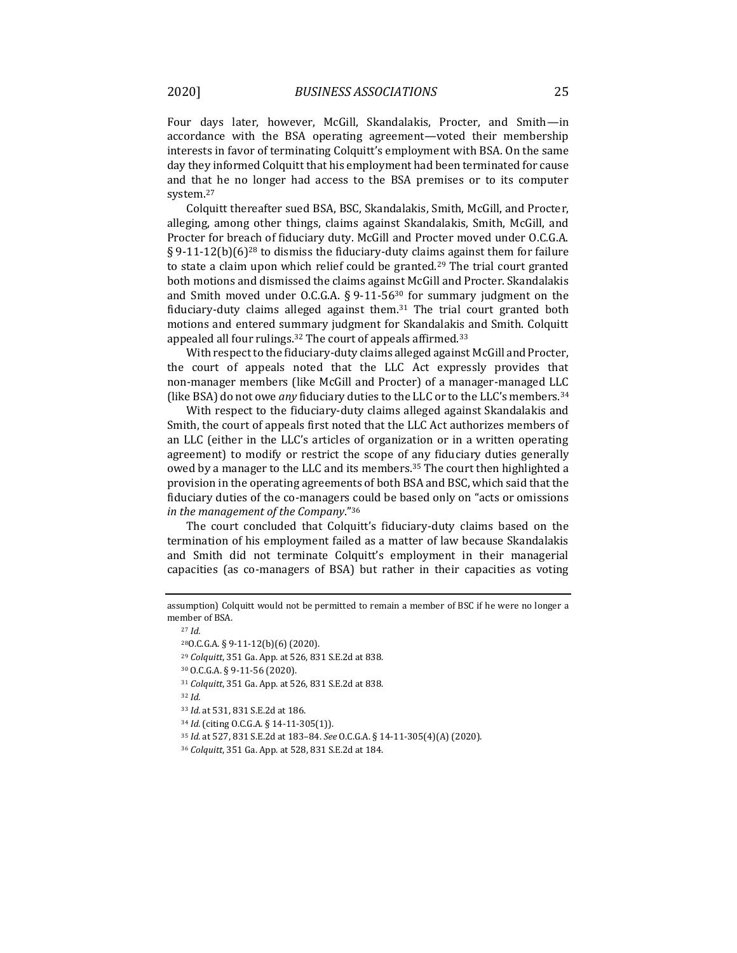Four days later, however, McGill, Skandalakis, Procter, and Smith—in accordance with the BSA operating agreement—voted their membership interests in favor of terminating Colquitt's employment with BSA. On the same day they informed Colquitt that his employment had been terminated for cause and that he no longer had access to the BSA premises or to its computer system.<sup>27</sup>

Colquitt thereafter sued BSA, BSC, Skandalakis, Smith, McGill, and Procter, alleging, among other things, claims against Skandalakis, Smith, McGill, and Procter for breach of fiduciary duty. McGill and Procter moved under O.C.G.A. § 9-11-12(b)(6)<sup>28</sup> to dismiss the fiduciary-duty claims against them for failure to state a claim upon which relief could be granted.<sup>29</sup> The trial court granted both motions and dismissed the claims against McGill and Procter. Skandalakis and Smith moved under O.C.G.A.  $\S 9$ -11-56<sup>30</sup> for summary judgment on the fiduciary-duty claims alleged against them. $31$  The trial court granted both motions and entered summary judgment for Skandalakis and Smith. Colquitt appealed all four rulings.<sup>32</sup> The court of appeals affirmed.<sup>33</sup>

With respect to the fiduciary-duty claims alleged against McGill and Procter, the court of appeals noted that the LLC Act expressly provides that non-manager members (like McGill and Procter) of a manager-managed LLC (like BSA) do not owe *any* fiduciary duties to the LLC or to the LLC's members.<sup>34</sup>

With respect to the fiduciary-duty claims alleged against Skandalakis and Smith, the court of appeals first noted that the LLC Act authorizes members of an LLC (either in the LLC's articles of organization or in a written operating agreement) to modify or restrict the scope of any fiduciary duties generally owed by a manager to the LLC and its members.<sup>35</sup> The court then highlighted a provision in the operating agreements of both BSA and BSC, which said that the fiduciary duties of the co-managers could be based only on "acts or omissions *in the management of the Company*."<sup>36</sup>

The court concluded that Colquitt's fiduciary-duty claims based on the termination of his employment failed as a matter of law because Skandalakis and Smith did not terminate Colquitt's employment in their managerial capacities (as co-managers of BSA) but rather in their capacities as voting

<sup>32</sup> *Id.*

- <sup>34</sup> *Id.* (citing O.C.G.A. § 14-11-305(1)).
- <sup>35</sup> *Id.* at 527, 831 S.E.2d at 183–84. *See* O.C.G.A. § 14-11-305(4)(A) (2020).
- <sup>36</sup> *Colquitt*, 351 Ga. App. at 528, 831 S.E.2d at 184.

assumption) Colquitt would not be permitted to remain a member of BSC if he were no longer a member of BSA.

<sup>27</sup> *Id.*

<sup>28</sup>O.C.G.A. § 9-11-12(b)(6) (2020).

<sup>29</sup> *Colquitt*, 351 Ga. App. at 526, 831 S.E.2d at 838.

<sup>30</sup> O.C.G.A. § 9-11-56 (2020).

<sup>31</sup> *Colquitt*, 351 Ga. App. at 526, 831 S.E.2d at 838.

<sup>33</sup> *Id.* at 531, 831 S.E.2d at 186.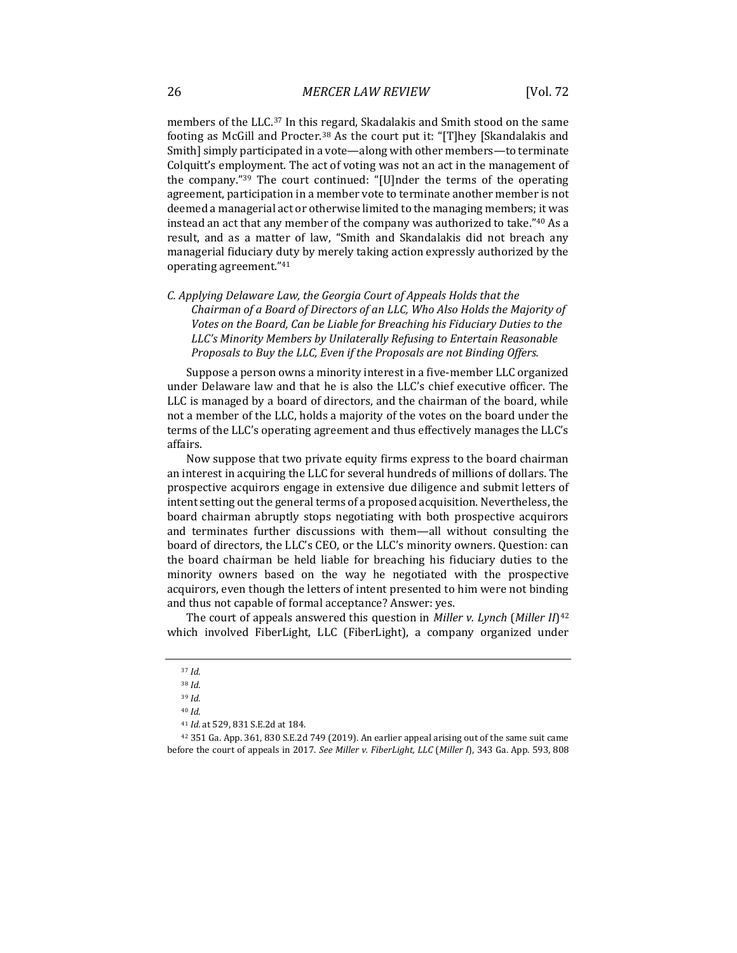members of the LLC.<sup>37</sup> In this regard, Skadalakis and Smith stood on the same footing as McGill and Procter.<sup>38</sup> As the court put it: "[T]hey [Skandalakis and Smith] simply participated in a vote—along with other members—to terminate Colquitt's employment. The act of voting was not an act in the management of the company."<sup>39</sup> The court continued: "[U]nder the terms of the operating agreement, participation in a member vote to terminate another member is not deemed a managerial act or otherwise limited to the managing members; it was instead an act that any member of the company was authorized to take."<sup>40</sup> As a result, and as a matter of law, "Smith and Skandalakis did not breach any managerial fiduciary duty by merely taking action expressly authorized by the operating agreement."<sup>41</sup>

*C. Applying Delaware Law, the Georgia Court of Appeals Holds that the Chairman of a Board of Directors of an LLC, Who Also Holds the Majority of Votes on the Board, Can be Liable for Breaching his Fiduciary Duties to the LLC's Minority Members by Unilaterally Refusing to Entertain Reasonable Proposals to Buy the LLC, Even if the Proposals are not Binding Offers.*

Suppose a person owns a minority interest in a five-member LLC organized under Delaware law and that he is also the LLC's chief executive officer. The LLC is managed by a board of directors, and the chairman of the board, while not a member of the LLC, holds a majority of the votes on the board under the terms of the LLC's operating agreement and thus effectively manages the LLC's affairs.

Now suppose that two private equity firms express to the board chairman an interest in acquiring the LLC for several hundreds of millions of dollars. The prospective acquirors engage in extensive due diligence and submit letters of intent setting out the general terms of a proposed acquisition. Nevertheless, the board chairman abruptly stops negotiating with both prospective acquirors and terminates further discussions with them—all without consulting the board of directors, the LLC's CEO, or the LLC's minority owners. Question: can the board chairman be held liable for breaching his fiduciary duties to the minority owners based on the way he negotiated with the prospective acquirors, even though the letters of intent presented to him were not binding and thus not capable of formal acceptance? Answer: yes.

The court of appeals answered this question in *Miller v. Lynch* (*Miller II*) 42 which involved FiberLight, LLC (FiberLight), a company organized under

<sup>42</sup> 351 Ga. App. 361, 830 S.E.2d 749 (2019). An earlier appeal arising out of the same suit came before the court of appeals in 2017. *See Miller v. FiberLight, LLC* (*Miller I*), 343 Ga. App. 593, 808

<sup>37</sup> *Id.*

<sup>38</sup> *Id.*

<sup>39</sup> *Id.* 

<sup>40</sup> *Id.*

<sup>41</sup> *Id.* at 529, 831 S.E.2d at 184.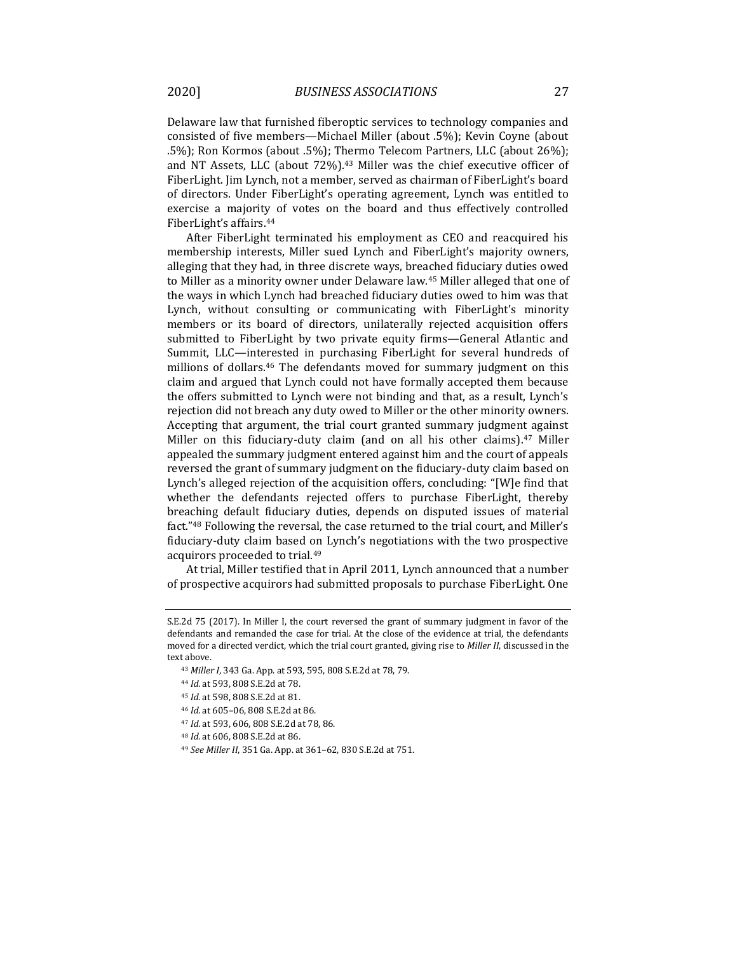Delaware law that furnished fiberoptic services to technology companies and consisted of five members—Michael Miller (about .5%); Kevin Coyne (about .5%); Ron Kormos (about .5%); Thermo Telecom Partners, LLC (about 26%); and NT Assets, LLC (about 72%).<sup>43</sup> Miller was the chief executive officer of FiberLight. Jim Lynch, not a member, served as chairman of FiberLight's board of directors. Under FiberLight's operating agreement, Lynch was entitled to exercise a majority of votes on the board and thus effectively controlled FiberLight's affairs.<sup>44</sup>

After FiberLight terminated his employment as CEO and reacquired his membership interests, Miller sued Lynch and FiberLight's majority owners, alleging that they had, in three discrete ways, breached fiduciary duties owed to Miller as a minority owner under Delaware law.<sup>45</sup> Miller alleged that one of the ways in which Lynch had breached fiduciary duties owed to him was that Lynch, without consulting or communicating with FiberLight's minority members or its board of directors, unilaterally rejected acquisition offers submitted to FiberLight by two private equity firms—General Atlantic and Summit, LLC—interested in purchasing FiberLight for several hundreds of millions of dollars.<sup>46</sup> The defendants moved for summary judgment on this claim and argued that Lynch could not have formally accepted them because the offers submitted to Lynch were not binding and that, as a result, Lynch's rejection did not breach any duty owed to Miller or the other minority owners. Accepting that argument, the trial court granted summary judgment against Miller on this fiduciary-duty claim (and on all his other claims).<sup>47</sup> Miller appealed the summary judgment entered against him and the court of appeals reversed the grant of summary judgment on the fiduciary-duty claim based on Lynch's alleged rejection of the acquisition offers, concluding: "[W]e find that whether the defendants rejected offers to purchase FiberLight, thereby breaching default fiduciary duties, depends on disputed issues of material fact."<sup>48</sup> Following the reversal, the case returned to the trial court, and Miller's fiduciary-duty claim based on Lynch's negotiations with the two prospective acquirors proceeded to trial.<sup>49</sup>

At trial, Miller testified that in April 2011, Lynch announced that a number of prospective acquirors had submitted proposals to purchase FiberLight. One

- <sup>47</sup> *Id.* at 593, 606, 808 S.E.2d at 78, 86.
- <sup>48</sup> *Id.* at 606, 808 S.E.2d at 86.

S.E.2d 75 (2017). In Miller I, the court reversed the grant of summary judgment in favor of the defendants and remanded the case for trial. At the close of the evidence at trial, the defendants moved for a directed verdict, which the trial court granted, giving rise to *Miller II*, discussed in the text above.

<sup>43</sup> *Miller I*, 343 Ga. App. at 593, 595, 808 S.E.2d at 78, 79.

<sup>44</sup> *Id.* at 593, 808 S.E.2d at 78.

<sup>45</sup> *Id.* at 598, 808 S.E.2d at 81.

<sup>46</sup> *Id.* at 605–06, 808 S.E.2d at 86.

<sup>49</sup> *See Miller II*, 351 Ga. App. at 361–62, 830 S.E.2d at 751.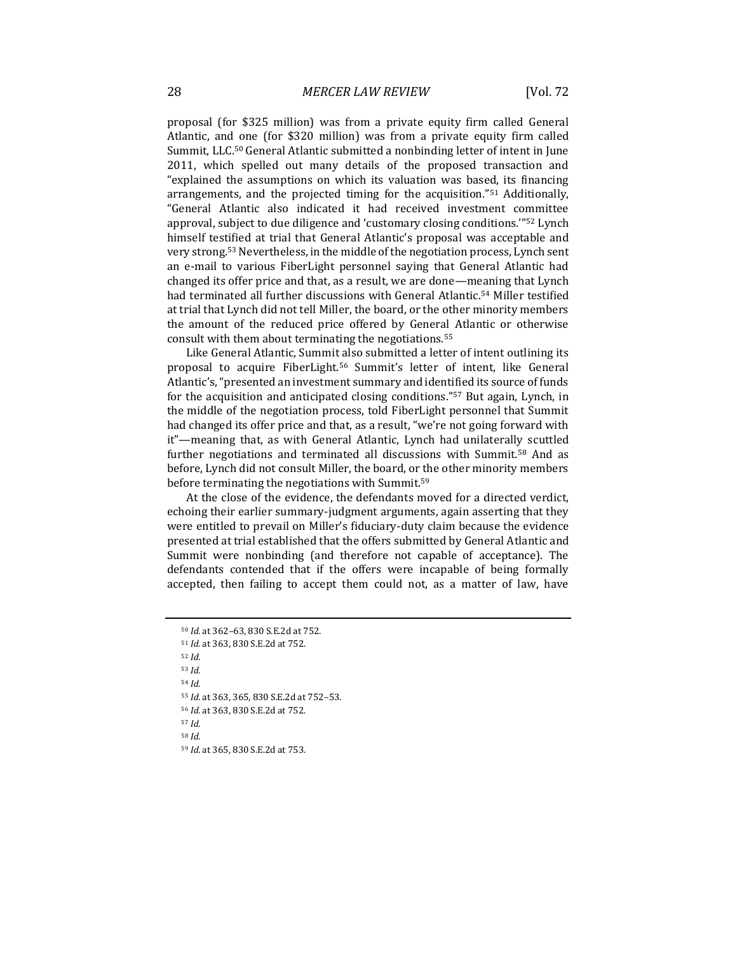proposal (for \$325 million) was from a private equity firm called General Atlantic, and one (for \$320 million) was from a private equity firm called Summit, LLC.<sup>50</sup> General Atlantic submitted a nonbinding letter of intent in June 2011, which spelled out many details of the proposed transaction and "explained the assumptions on which its valuation was based, its financing arrangements, and the projected timing for the acquisition."<sup>51</sup> Additionally, "General Atlantic also indicated it had received investment committee approval, subject to due diligence and 'customary closing conditions.'"<sup>52</sup> Lynch himself testified at trial that General Atlantic's proposal was acceptable and very strong.<sup>53</sup> Nevertheless, in the middle of the negotiation process, Lynch sent an e-mail to various FiberLight personnel saying that General Atlantic had changed its offer price and that, as a result, we are done—meaning that Lynch had terminated all further discussions with General Atlantic.<sup>54</sup> Miller testified at trial that Lynch did not tell Miller, the board, or the other minority members the amount of the reduced price offered by General Atlantic or otherwise consult with them about terminating the negotiations.<sup>55</sup>

Like General Atlantic, Summit also submitted a letter of intent outlining its proposal to acquire FiberLight.<sup>56</sup> Summit's letter of intent, like General Atlantic's, "presented an investment summary and identified its source of funds for the acquisition and anticipated closing conditions."<sup>57</sup> But again, Lynch, in the middle of the negotiation process, told FiberLight personnel that Summit had changed its offer price and that, as a result, "we're not going forward with it"—meaning that, as with General Atlantic, Lynch had unilaterally scuttled further negotiations and terminated all discussions with Summit.<sup>58</sup> And as before, Lynch did not consult Miller, the board, or the other minority members before terminating the negotiations with Summit.<sup>59</sup>

At the close of the evidence, the defendants moved for a directed verdict, echoing their earlier summary-judgment arguments, again asserting that they were entitled to prevail on Miller's fiduciary-duty claim because the evidence presented at trial established that the offers submitted by General Atlantic and Summit were nonbinding (and therefore not capable of acceptance). The defendants contended that if the offers were incapable of being formally accepted, then failing to accept them could not, as a matter of law, have

<sup>52</sup> *Id.*

<sup>53</sup> *Id.*

<sup>54</sup> *Id.*

<sup>55</sup> *Id.* at 363, 365, 830 S.E.2d at 752–53.

<sup>56</sup> *Id.* at 363, 830 S.E.2d at 752.

<sup>57</sup> *Id.* <sup>58</sup> *Id.*

<sup>50</sup> *Id.* at 362–63, 830 S.E.2d at 752.

<sup>51</sup> *Id.* at 363, 830 S.E.2d at 752.

<sup>59</sup> *Id.* at 365, 830 S.E.2d at 753.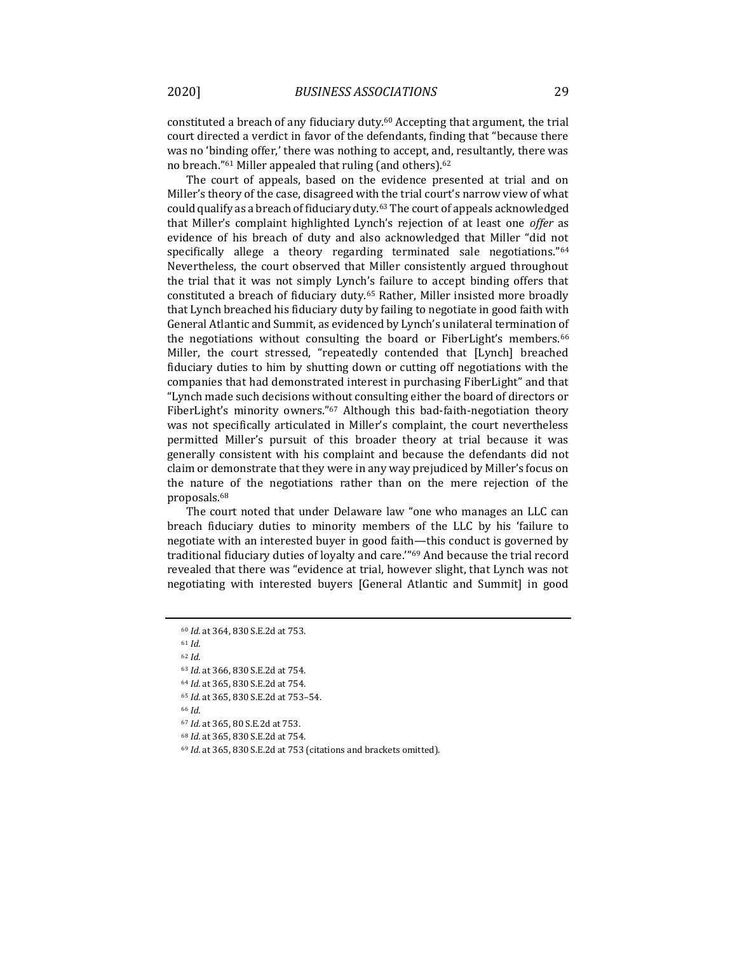constituted a breach of any fiduciary duty.<sup>60</sup> Accepting that argument, the trial court directed a verdict in favor of the defendants, finding that "because there was no 'binding offer,' there was nothing to accept, and, resultantly, there was no breach."<sup>61</sup> Miller appealed that ruling (and others).<sup>62</sup>

The court of appeals, based on the evidence presented at trial and on Miller's theory of the case, disagreed with the trial court's narrow view of what could qualify as a breach of fiduciary duty.<sup>63</sup> The court of appeals acknowledged that Miller's complaint highlighted Lynch's rejection of at least one *offer* as evidence of his breach of duty and also acknowledged that Miller "did not specifically allege a theory regarding terminated sale negotiations."<sup>64</sup> Nevertheless, the court observed that Miller consistently argued throughout the trial that it was not simply Lynch's failure to accept binding offers that constituted a breach of fiduciary duty.<sup>65</sup> Rather, Miller insisted more broadly that Lynch breached his fiduciary duty by failing to negotiate in good faith with General Atlantic and Summit, as evidenced by Lynch's unilateral termination of the negotiations without consulting the board or FiberLight's members.<sup>66</sup> Miller, the court stressed, "repeatedly contended that [Lynch] breached fiduciary duties to him by shutting down or cutting off negotiations with the companies that had demonstrated interest in purchasing FiberLight" and that "Lynch made such decisions without consulting either the board of directors or FiberLight's minority owners."<sup>67</sup> Although this bad-faith-negotiation theory was not specifically articulated in Miller's complaint, the court nevertheless permitted Miller's pursuit of this broader theory at trial because it was generally consistent with his complaint and because the defendants did not claim or demonstrate that they were in any way prejudiced by Miller's focus on the nature of the negotiations rather than on the mere rejection of the proposals.<sup>68</sup>

The court noted that under Delaware law "one who manages an LLC can breach fiduciary duties to minority members of the LLC by his 'failure to negotiate with an interested buyer in good faith—this conduct is governed by traditional fiduciary duties of loyalty and care.'"<sup>69</sup> And because the trial record revealed that there was "evidence at trial, however slight, that Lynch was not negotiating with interested buyers [General Atlantic and Summit] in good

<sup>61</sup> *Id.*

<sup>62</sup> *Id.*

<sup>60</sup> *Id.* at 364, 830 S.E.2d at 753.

<sup>63</sup> *Id.* at 366, 830 S.E.2d at 754.

<sup>64</sup> *Id.* at 365, 830 S.E.2d at 754.

<sup>65</sup> *Id.* at 365, 830 S.E.2d at 753–54.

<sup>66</sup> *Id.*

<sup>67</sup> *Id.* at 365, 80 S.E.2d at 753.

<sup>68</sup> *Id.* at 365, 830 S.E.2d at 754.

<sup>69</sup> *Id.* at 365, 830 S.E.2d at 753 (citations and brackets omitted).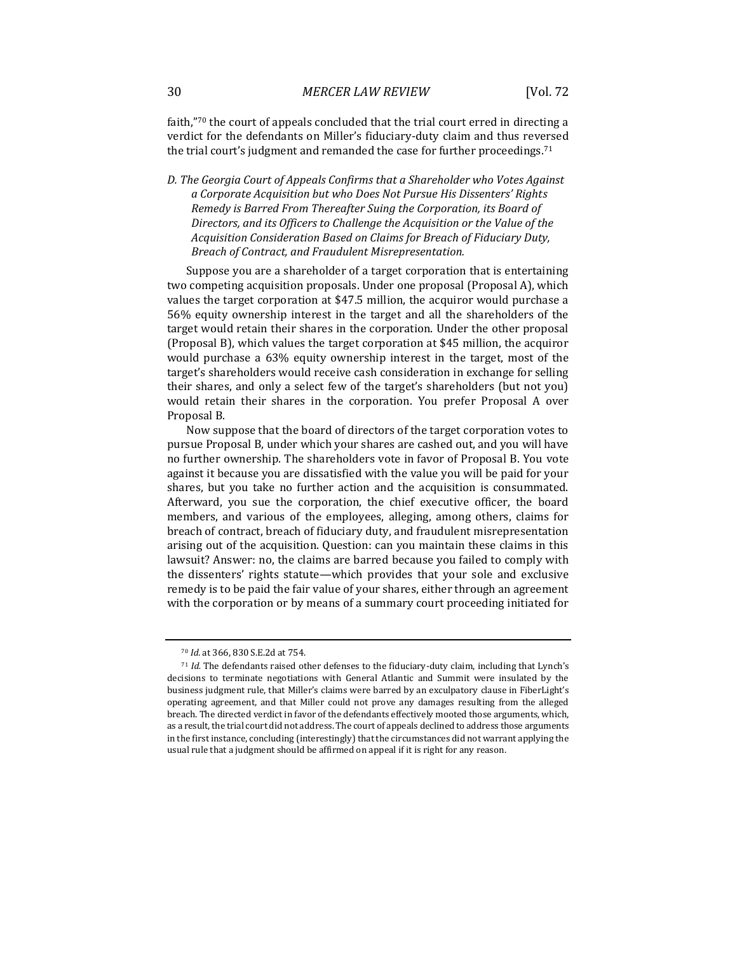faith,"70 the court of appeals concluded that the trial court erred in directing a verdict for the defendants on Miller's fiduciary-duty claim and thus reversed the trial court's judgment and remanded the case for further proceedings.<sup>71</sup>

*D. The Georgia Court of Appeals Confirms that a Shareholder who Votes Against a Corporate Acquisition but who Does Not Pursue His Dissenters' Rights Remedy is Barred From Thereafter Suing the Corporation, its Board of Directors, and its Officers to Challenge the Acquisition or the Value of the Acquisition Consideration Based on Claims for Breach of Fiduciary Duty, Breach of Contract, and Fraudulent Misrepresentation.*

Suppose you are a shareholder of a target corporation that is entertaining two competing acquisition proposals. Under one proposal (Proposal A), which values the target corporation at \$47.5 million, the acquiror would purchase a 56% equity ownership interest in the target and all the shareholders of the target would retain their shares in the corporation. Under the other proposal (Proposal B), which values the target corporation at \$45 million, the acquiror would purchase a 63% equity ownership interest in the target, most of the target's shareholders would receive cash consideration in exchange for selling their shares, and only a select few of the target's shareholders (but not you) would retain their shares in the corporation. You prefer Proposal A over Proposal B.

Now suppose that the board of directors of the target corporation votes to pursue Proposal B, under which your shares are cashed out, and you will have no further ownership. The shareholders vote in favor of Proposal B. You vote against it because you are dissatisfied with the value you will be paid for your shares, but you take no further action and the acquisition is consummated. Afterward, you sue the corporation, the chief executive officer, the board members, and various of the employees, alleging, among others, claims for breach of contract, breach of fiduciary duty, and fraudulent misrepresentation arising out of the acquisition. Question: can you maintain these claims in this lawsuit? Answer: no, the claims are barred because you failed to comply with the dissenters' rights statute—which provides that your sole and exclusive remedy is to be paid the fair value of your shares, either through an agreement with the corporation or by means of a summary court proceeding initiated for

<sup>70</sup> *Id.* at 366, 830 S.E.2d at 754.

<sup>71</sup> *Id.* The defendants raised other defenses to the fiduciary-duty claim, including that Lynch's decisions to terminate negotiations with General Atlantic and Summit were insulated by the business judgment rule, that Miller's claims were barred by an exculpatory clause in FiberLight's operating agreement, and that Miller could not prove any damages resulting from the alleged breach. The directed verdict in favor of the defendants effectively mooted those arguments, which, as a result, the trial court did not address. The court of appeals declined to address those arguments in the first instance, concluding (interestingly) that the circumstances did not warrant applying the usual rule that a judgment should be affirmed on appeal if it is right for any reason.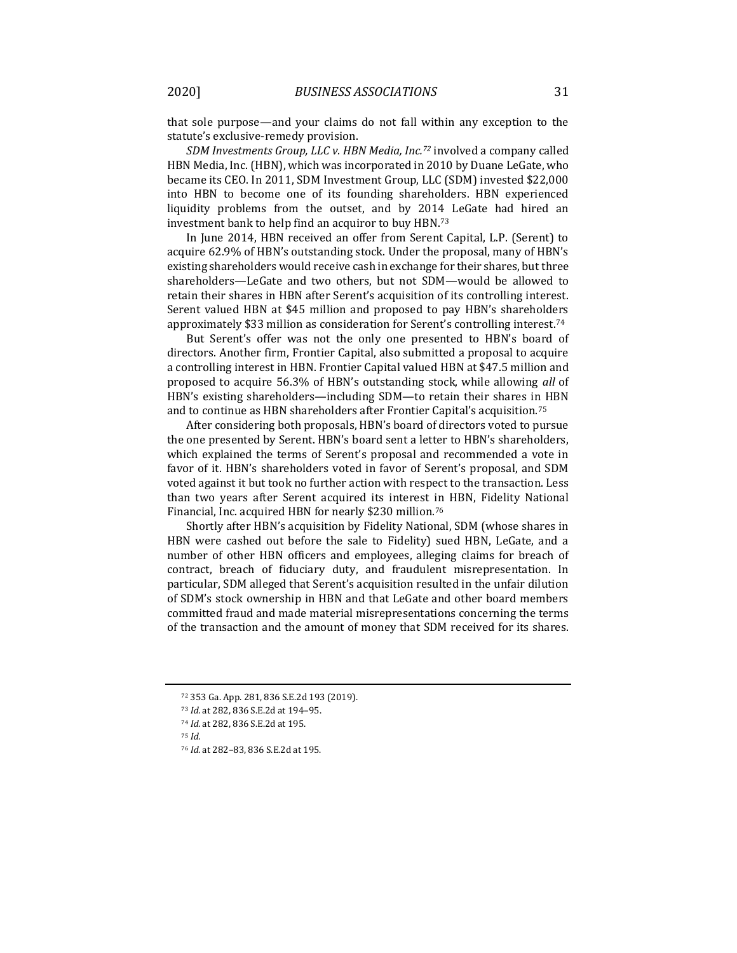that sole purpose—and your claims do not fall within any exception to the statute's exclusive-remedy provision.

*SDM Investments Group, LLC v. HBN Media, Inc.<sup>72</sup>* involved a company called HBN Media, Inc. (HBN), which was incorporated in 2010 by Duane LeGate, who became its CEO. In 2011, SDM Investment Group, LLC (SDM) invested \$22,000 into HBN to become one of its founding shareholders. HBN experienced liquidity problems from the outset, and by 2014 LeGate had hired an investment bank to help find an acquiror to buy HBN.<sup>73</sup>

In June 2014, HBN received an offer from Serent Capital, L.P. (Serent) to acquire 62.9% of HBN's outstanding stock. Under the proposal, many of HBN's existing shareholders would receive cash in exchange for their shares, but three shareholders—LeGate and two others, but not SDM—would be allowed to retain their shares in HBN after Serent's acquisition of its controlling interest. Serent valued HBN at \$45 million and proposed to pay HBN's shareholders approximately \$33 million as consideration for Serent's controlling interest.<sup>74</sup>

But Serent's offer was not the only one presented to HBN's board of directors. Another firm, Frontier Capital, also submitted a proposal to acquire a controlling interest in HBN. Frontier Capital valued HBN at \$47.5 million and proposed to acquire 56.3% of HBN's outstanding stock, while allowing *all* of HBN's existing shareholders—including SDM—to retain their shares in HBN and to continue as HBN shareholders after Frontier Capital's acquisition.<sup>75</sup>

After considering both proposals, HBN's board of directors voted to pursue the one presented by Serent. HBN's board sent a letter to HBN's shareholders, which explained the terms of Serent's proposal and recommended a vote in favor of it. HBN's shareholders voted in favor of Serent's proposal, and SDM voted against it but took no further action with respect to the transaction. Less than two years after Serent acquired its interest in HBN, Fidelity National Financial, Inc. acquired HBN for nearly \$230 million.<sup>76</sup>

Shortly after HBN's acquisition by Fidelity National, SDM (whose shares in HBN were cashed out before the sale to Fidelity) sued HBN, LeGate, and a number of other HBN officers and employees, alleging claims for breach of contract, breach of fiduciary duty, and fraudulent misrepresentation. In particular, SDM alleged that Serent's acquisition resulted in the unfair dilution of SDM's stock ownership in HBN and that LeGate and other board members committed fraud and made material misrepresentations concerning the terms of the transaction and the amount of money that SDM received for its shares.

<sup>75</sup> *Id.*

<sup>72</sup> 353 Ga. App. 281, 836 S.E.2d 193 (2019).

<sup>73</sup> *Id.* at 282, 836 S.E.2d at 194–95.

<sup>74</sup> *Id.* at 282, 836 S.E.2d at 195.

<sup>76</sup> *Id.* at 282–83, 836 S.E.2d at 195.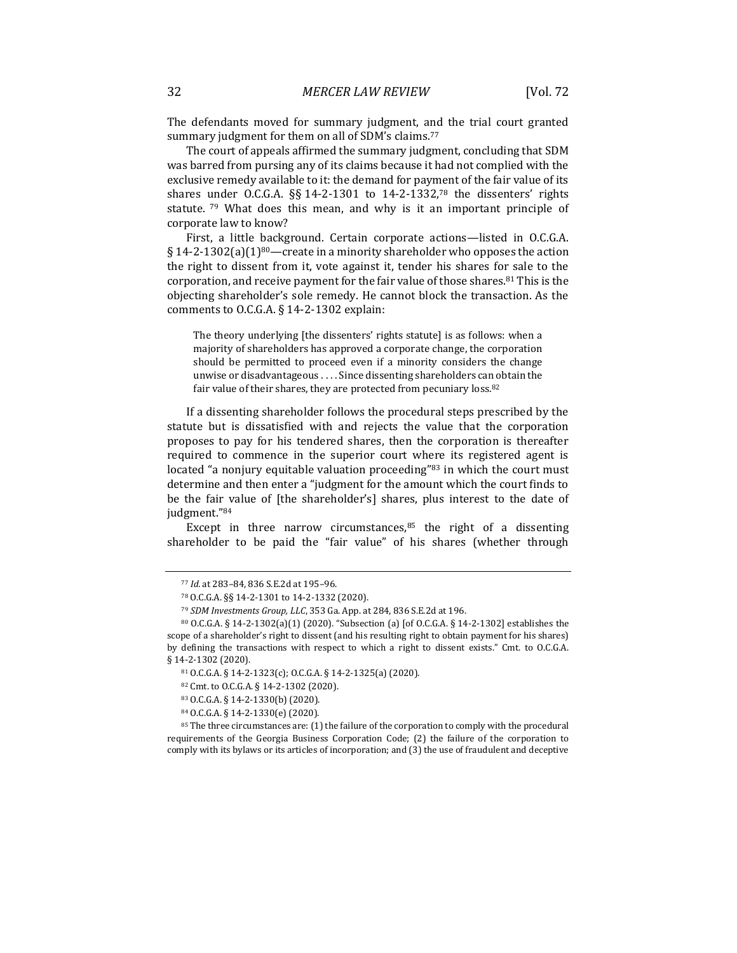The defendants moved for summary judgment, and the trial court granted summary judgment for them on all of SDM's claims.<sup>77</sup>

The court of appeals affirmed the summary judgment, concluding that SDM was barred from pursing any of its claims because it had not complied with the exclusive remedy available to it: the demand for payment of the fair value of its shares under O.C.G.A. §§ 14-2-1301 to 14-2-1332,<sup>78</sup> the dissenters' rights statute.  $79$  What does this mean, and why is it an important principle of corporate law to know?

First, a little background. Certain corporate actions—listed in O.C.G.A. § 14-2-1302(a)(1)<sup>80</sup>—create in a minority shareholder who opposes the action the right to dissent from it, vote against it, tender his shares for sale to the corporation, and receive payment for the fair value of those shares. $81$  This is the objecting shareholder's sole remedy. He cannot block the transaction. As the comments to O.C.G.A. § 14-2-1302 explain:

The theory underlying [the dissenters' rights statute] is as follows: when a majority of shareholders has approved a corporate change, the corporation should be permitted to proceed even if a minority considers the change unwise or disadvantageous . . . . Since dissenting shareholders can obtain the fair value of their shares, they are protected from pecuniary loss.<sup>82</sup>

If a dissenting shareholder follows the procedural steps prescribed by the statute but is dissatisfied with and rejects the value that the corporation proposes to pay for his tendered shares, then the corporation is thereafter required to commence in the superior court where its registered agent is located "a nonjury equitable valuation proceeding"<sup>83</sup> in which the court must determine and then enter a "judgment for the amount which the court finds to be the fair value of [the shareholder's] shares, plus interest to the date of judgment."<sup>84</sup>

Except in three narrow circumstances, $85$  the right of a dissenting shareholder to be paid the "fair value" of his shares (whether through

<sup>77</sup> *Id.* at 283–84, 836 S.E.2d at 195–96.

<sup>78</sup> O.C.G.A. §§ 14-2-1301 to 14-2-1332 (2020).

<sup>79</sup> *SDM Investments Group, LLC*, 353 Ga. App. at 284, 836 S.E.2d at 196.

<sup>80</sup> O.C.G.A. § 14-2-1302(a)(1) (2020). "Subsection (a) [of O.C.G.A. § 14-2-1302] establishes the scope of a shareholder's right to dissent (and his resulting right to obtain payment for his shares) by defining the transactions with respect to which a right to dissent exists." Cmt. to O.C.G.A. § 14-2-1302 (2020).

<sup>81</sup> O.C.G.A. § 14-2-1323(c); O.C.G.A. § 14-2-1325(a) (2020).

<sup>82</sup> Cmt. to O.C.G.A. § 14-2-1302 (2020).

<sup>83</sup> O.C.G.A. § 14-2-1330(b) (2020).

<sup>84</sup> O.C.G.A. § 14-2-1330(e) (2020).

<sup>85</sup> The three circumstances are: (1) the failure of the corporation to comply with the procedural requirements of the Georgia Business Corporation Code; (2) the failure of the corporation to comply with its bylaws or its articles of incorporation; and (3) the use of fraudulent and deceptive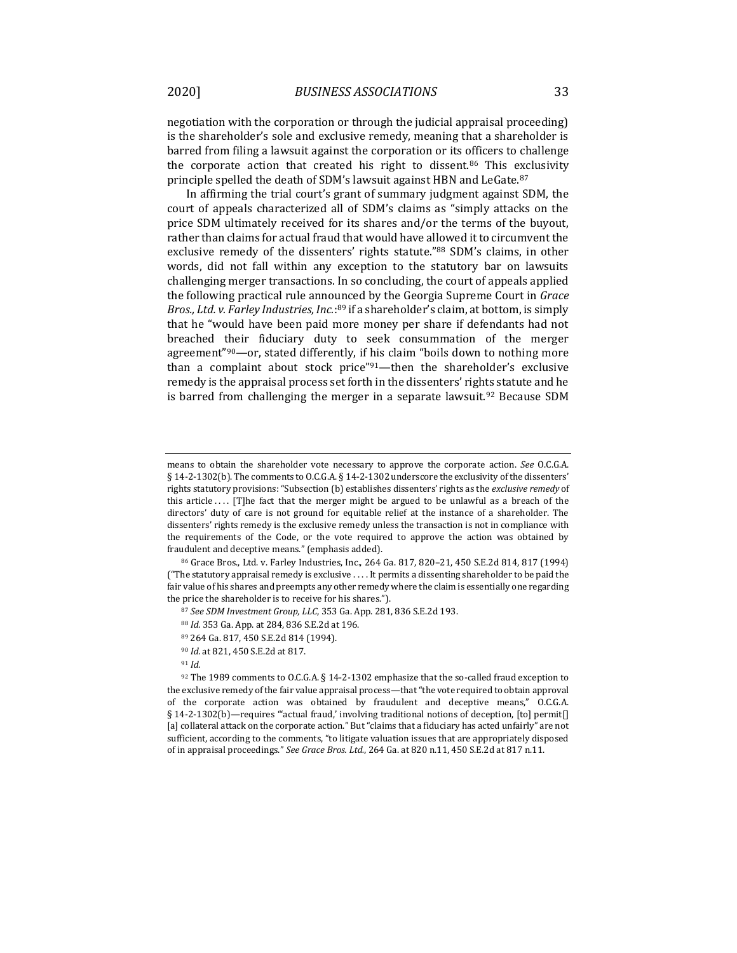negotiation with the corporation or through the judicial appraisal proceeding) is the shareholder's sole and exclusive remedy, meaning that a shareholder is barred from filing a lawsuit against the corporation or its officers to challenge the corporate action that created his right to dissent.<sup>86</sup> This exclusivity principle spelled the death of SDM's lawsuit against HBN and LeGate.<sup>87</sup>

In affirming the trial court's grant of summary judgment against SDM, the court of appeals characterized all of SDM's claims as "simply attacks on the price SDM ultimately received for its shares and/or the terms of the buyout, rather than claims for actual fraud that would have allowed it to circumvent the exclusive remedy of the dissenters' rights statute."<sup>88</sup> SDM's claims, in other words, did not fall within any exception to the statutory bar on lawsuits challenging merger transactions. In so concluding, the court of appeals applied the following practical rule announced by the Georgia Supreme Court in *Grace*  Bros., Ltd. v. Farley Industries, Inc.:<sup>89</sup> if a shareholder's claim, at bottom, is simply that he "would have been paid more money per share if defendants had not breached their fiduciary duty to seek consummation of the merger agreement"90—or, stated differently, if his claim "boils down to nothing more than a complaint about stock price"91-then the shareholder's exclusive remedy is the appraisal process set forth in the dissenters' rights statute and he is barred from challenging the merger in a separate lawsuit.<sup>92</sup> Because SDM

<sup>86</sup> Grace Bros., Ltd. v. Farley Industries, Inc., 264 Ga. 817, 820–21, 450 S.E.2d 814, 817 (1994) ("The statutory appraisal remedy is exclusive . . . . It permits a dissenting shareholder to be paid the fair value of his shares and preempts any other remedy where the claim is essentially one regarding the price the shareholder is to receive for his shares.").

means to obtain the shareholder vote necessary to approve the corporate action. *See* O.C.G.A. § 14-2-1302(b). The comments to O.C.G.A. § 14-2-1302 underscore the exclusivity of the dissenters' rights statutory provisions: "Subsection (b) establishes dissenters' rights as the *exclusive remedy* of this article .... [T]he fact that the merger might be argued to be unlawful as a breach of the directors' duty of care is not ground for equitable relief at the instance of a shareholder. The dissenters' rights remedy is the exclusive remedy unless the transaction is not in compliance with the requirements of the Code, or the vote required to approve the action was obtained by fraudulent and deceptive means." (emphasis added).

<sup>87</sup> *See SDM Investment Group, LLC*, 353 Ga. App. 281, 836 S.E.2d 193.

<sup>88</sup> *Id.* 353 Ga. App. at 284, 836 S.E.2d at 196.

<sup>89</sup> 264 Ga. 817, 450 S.E.2d 814 (1994).

<sup>90</sup> *Id.* at 821, 450 S.E.2d at 817.

<sup>91</sup> *Id.*

<sup>92</sup> The 1989 comments to O.C.G.A. § 14-2-1302 emphasize that the so-called fraud exception to the exclusive remedy of the fair value appraisal process—that "the vote required to obtain approval of the corporate action was obtained by fraudulent and deceptive means," O.C.G.A. § 14-2-1302(b)—requires "'actual fraud,' involving traditional notions of deception, [to] permit[] [a] collateral attack on the corporate action." But "claims that a fiduciary has acted unfairly" are not sufficient, according to the comments, "to litigate valuation issues that are appropriately disposed of in appraisal proceedings." *See Grace Bros. Ltd.*, 264 Ga. at 820 n.11, 450 S.E.2d at 817 n.11.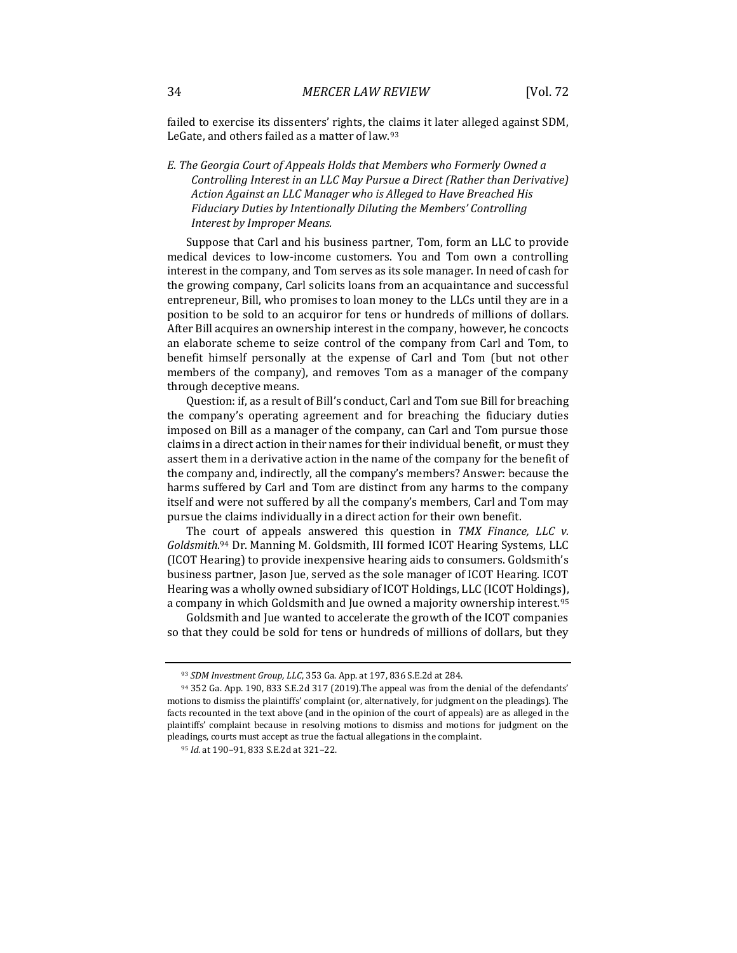failed to exercise its dissenters' rights, the claims it later alleged against SDM, LeGate, and others failed as a matter of law.<sup>93</sup>

### *E. The Georgia Court of Appeals Holds that Members who Formerly Owned a Controlling Interest in an LLC May Pursue a Direct (Rather than Derivative) Action Against an LLC Manager who is Alleged to Have Breached His Fiduciary Duties by Intentionally Diluting the Members' Controlling Interest by Improper Means.*

Suppose that Carl and his business partner, Tom, form an LLC to provide medical devices to low-income customers. You and Tom own a controlling interest in the company, and Tom serves as its sole manager. In need of cash for the growing company, Carl solicits loans from an acquaintance and successful entrepreneur, Bill, who promises to loan money to the LLCs until they are in a position to be sold to an acquiror for tens or hundreds of millions of dollars. After Bill acquires an ownership interest in the company, however, he concocts an elaborate scheme to seize control of the company from Carl and Tom, to benefit himself personally at the expense of Carl and Tom (but not other members of the company), and removes Tom as a manager of the company through deceptive means.

Question: if, as a result of Bill's conduct, Carl and Tom sue Bill for breaching the company's operating agreement and for breaching the fiduciary duties imposed on Bill as a manager of the company, can Carl and Tom pursue those claims in a direct action in their names for their individual benefit, or must they assert them in a derivative action in the name of the company for the benefit of the company and, indirectly, all the company's members? Answer: because the harms suffered by Carl and Tom are distinct from any harms to the company itself and were not suffered by all the company's members, Carl and Tom may pursue the claims individually in a direct action for their own benefit.

The court of appeals answered this question in *TMX Finance, LLC v. Goldsmith*. <sup>94</sup> Dr. Manning M. Goldsmith, III formed ICOT Hearing Systems, LLC (ICOT Hearing) to provide inexpensive hearing aids to consumers. Goldsmith's business partner, Jason Jue, served as the sole manager of ICOT Hearing. ICOT Hearing was a wholly owned subsidiary of ICOT Holdings, LLC (ICOT Holdings), a company in which Goldsmith and Jue owned a majority ownership interest.<sup>95</sup>

Goldsmith and Jue wanted to accelerate the growth of the ICOT companies so that they could be sold for tens or hundreds of millions of dollars, but they

<sup>93</sup> *SDM Investment Group, LLC*, 353 Ga. App. at 197, 836 S.E.2d at 284.

<sup>94</sup> 352 Ga. App. 190, 833 S.E.2d 317 (2019).The appeal was from the denial of the defendants' motions to dismiss the plaintiffs' complaint (or, alternatively, for judgment on the pleadings). The facts recounted in the text above (and in the opinion of the court of appeals) are as alleged in the plaintiffs' complaint because in resolving motions to dismiss and motions for judgment on the pleadings, courts must accept as true the factual allegations in the complaint.

<sup>95</sup> *Id.* at 190–91, 833 S.E.2d at 321–22.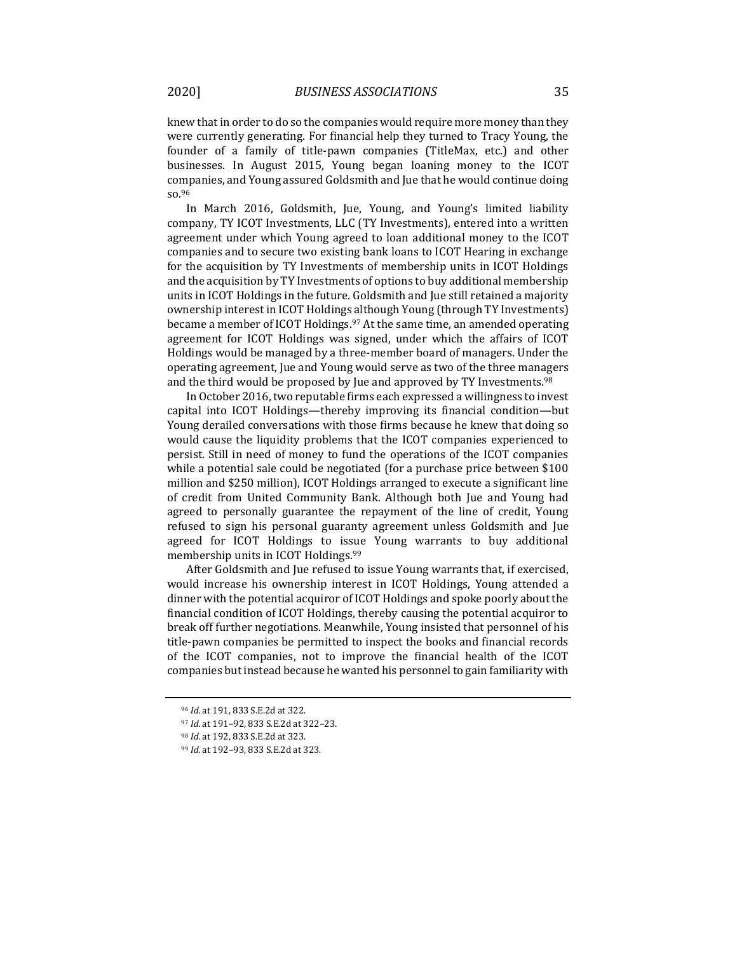knew that in order to do so the companies would require more money than they were currently generating. For financial help they turned to Tracy Young, the founder of a family of title-pawn companies (TitleMax, etc.) and other businesses. In August 2015, Young began loaning money to the ICOT companies, and Young assured Goldsmith and Jue that he would continue doing so.<sup>96</sup>

In March 2016, Goldsmith, Jue, Young, and Young's limited liability company, TY ICOT Investments, LLC (TY Investments), entered into a written agreement under which Young agreed to loan additional money to the ICOT companies and to secure two existing bank loans to ICOT Hearing in exchange for the acquisition by TY Investments of membership units in ICOT Holdings and the acquisition by TY Investments of options to buy additional membership units in ICOT Holdings in the future. Goldsmith and Jue still retained a majority ownership interest in ICOT Holdings although Young (through TY Investments) became a member of ICOT Holdings.<sup>97</sup> At the same time, an amended operating agreement for ICOT Holdings was signed, under which the affairs of ICOT Holdings would be managed by a three-member board of managers. Under the operating agreement, Jue and Young would serve as two of the three managers and the third would be proposed by Jue and approved by TY Investments.<sup>98</sup>

In October 2016, two reputable firms each expressed a willingness to invest capital into ICOT Holdings—thereby improving its financial condition—but Young derailed conversations with those firms because he knew that doing so would cause the liquidity problems that the ICOT companies experienced to persist. Still in need of money to fund the operations of the ICOT companies while a potential sale could be negotiated (for a purchase price between \$100 million and \$250 million), ICOT Holdings arranged to execute a significant line of credit from United Community Bank. Although both Jue and Young had agreed to personally guarantee the repayment of the line of credit, Young refused to sign his personal guaranty agreement unless Goldsmith and Jue agreed for ICOT Holdings to issue Young warrants to buy additional membership units in ICOT Holdings.<sup>99</sup>

After Goldsmith and Jue refused to issue Young warrants that, if exercised, would increase his ownership interest in ICOT Holdings, Young attended a dinner with the potential acquiror of ICOT Holdings and spoke poorly about the financial condition of ICOT Holdings, thereby causing the potential acquiror to break off further negotiations. Meanwhile, Young insisted that personnel of his title-pawn companies be permitted to inspect the books and financial records of the ICOT companies, not to improve the financial health of the ICOT companies but instead because he wanted his personnel to gain familiarity with

<sup>96</sup> *Id.* at 191, 833 S.E.2d at 322.

<sup>97</sup> *Id.* at 191–92, 833 S.E.2d at 322–23.

<sup>98</sup> *Id.* at 192, 833 S.E.2d at 323.

<sup>99</sup> *Id.* at 192–93, 833 S.E.2d at 323.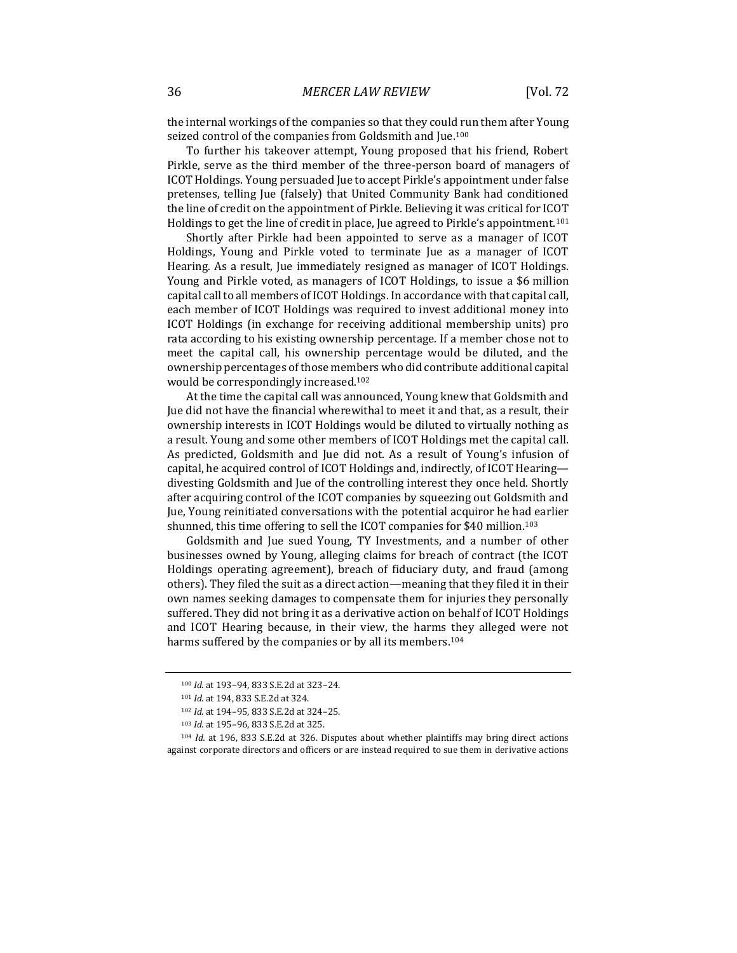the internal workings of the companies so that they could run them after Young seized control of the companies from Goldsmith and Jue.<sup>100</sup>

To further his takeover attempt, Young proposed that his friend, Robert Pirkle, serve as the third member of the three-person board of managers of ICOT Holdings. Young persuaded Jue to accept Pirkle's appointment under false pretenses, telling Jue (falsely) that United Community Bank had conditioned the line of credit on the appointment of Pirkle. Believing it was critical for ICOT Holdings to get the line of credit in place, Jue agreed to Pirkle's appointment.<sup>101</sup>

Shortly after Pirkle had been appointed to serve as a manager of ICOT Holdings, Young and Pirkle voted to terminate Jue as a manager of ICOT Hearing. As a result, Jue immediately resigned as manager of ICOT Holdings. Young and Pirkle voted, as managers of ICOT Holdings, to issue a \$6 million capital call to all members of ICOT Holdings. In accordance with that capital call, each member of ICOT Holdings was required to invest additional money into ICOT Holdings (in exchange for receiving additional membership units) pro rata according to his existing ownership percentage. If a member chose not to meet the capital call, his ownership percentage would be diluted, and the ownership percentages of those members who did contribute additional capital would be correspondingly increased.<sup>102</sup>

At the time the capital call was announced, Young knew that Goldsmith and Jue did not have the financial wherewithal to meet it and that, as a result, their ownership interests in ICOT Holdings would be diluted to virtually nothing as a result. Young and some other members of ICOT Holdings met the capital call. As predicted, Goldsmith and Jue did not. As a result of Young's infusion of capital, he acquired control of ICOT Holdings and, indirectly, of ICOT Hearing divesting Goldsmith and Jue of the controlling interest they once held. Shortly after acquiring control of the ICOT companies by squeezing out Goldsmith and Jue, Young reinitiated conversations with the potential acquiror he had earlier shunned, this time offering to sell the ICOT companies for \$40 million.<sup>103</sup>

Goldsmith and Jue sued Young, TY Investments, and a number of other businesses owned by Young, alleging claims for breach of contract (the ICOT Holdings operating agreement), breach of fiduciary duty, and fraud (among others). They filed the suit as a direct action—meaning that they filed it in their own names seeking damages to compensate them for injuries they personally suffered. They did not bring it as a derivative action on behalf of ICOT Holdings and ICOT Hearing because, in their view, the harms they alleged were not harms suffered by the companies or by all its members.<sup>104</sup>

<sup>100</sup> *Id.* at 193–94, 833 S.E.2d at 323–24.

<sup>101</sup> *Id.* at 194, 833 S.E.2d at 324.

<sup>102</sup> *Id.* at 194–95, 833 S.E.2d at 324–25.

<sup>103</sup> *Id.* at 195–96, 833 S.E.2d at 325.

<sup>104</sup> *Id.* at 196, 833 S.E.2d at 326. Disputes about whether plaintiffs may bring direct actions against corporate directors and officers or are instead required to sue them in derivative actions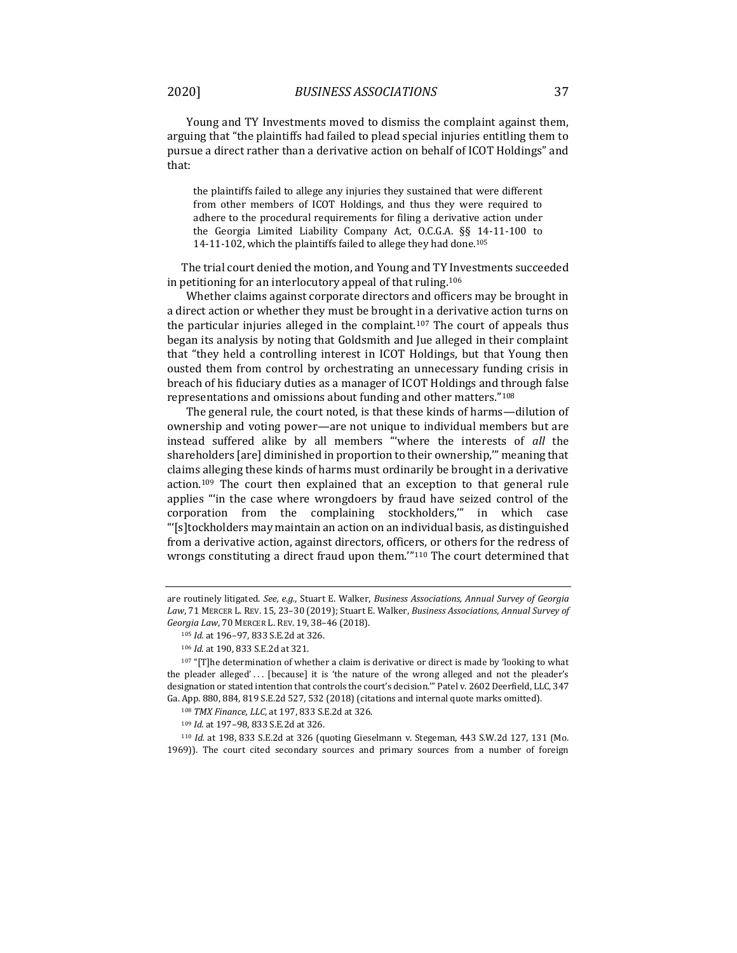Young and TY Investments moved to dismiss the complaint against them, arguing that "the plaintiffs had failed to plead special injuries entitling them to pursue a direct rather than a derivative action on behalf of ICOT Holdings" and that:

the plaintiffs failed to allege any injuries they sustained that were different from other members of ICOT Holdings, and thus they were required to adhere to the procedural requirements for filing a derivative action under the Georgia Limited Liability Company Act, O.C.G.A. §§ 14-11-100 to 14-11-102, which the plaintiffs failed to allege they had done.<sup>105</sup>

The trial court denied the motion, and Young and TY Investments succeeded in petitioning for an interlocutory appeal of that ruling.<sup>106</sup>

Whether claims against corporate directors and officers may be brought in a direct action or whether they must be brought in a derivative action turns on the particular injuries alleged in the complaint.<sup>107</sup> The court of appeals thus began its analysis by noting that Goldsmith and Jue alleged in their complaint that "they held a controlling interest in ICOT Holdings, but that Young then ousted them from control by orchestrating an unnecessary funding crisis in breach of his fiduciary duties as a manager of ICOT Holdings and through false representations and omissions about funding and other matters."<sup>108</sup>

The general rule, the court noted, is that these kinds of harms—dilution of ownership and voting power—are not unique to individual members but are instead suffered alike by all members "'where the interests of *all* the shareholders [are] diminished in proportion to their ownership,'" meaning that claims alleging these kinds of harms must ordinarily be brought in a derivative action.<sup>109</sup> The court then explained that an exception to that general rule applies "'in the case where wrongdoers by fraud have seized control of the corporation from the complaining stockholders,'" in which case "'[s]tockholders may maintain an action on an individual basis, as distinguished from a derivative action, against directors, officers, or others for the redress of wrongs constituting a direct fraud upon them."<sup>110</sup> The court determined that

are routinely litigated. *See, e.g.*, Stuart E. Walker, *Business Associations, Annual Survey of Georgia Law*, 71 MERCER L. REV. 15, 23–30 (2019); Stuart E. Walker, *Business Associations, Annual Survey of Georgia Law*, 70 MERCER L. REV. 19, 38–46 (2018).

<sup>105</sup> *Id.* at 196–97, 833 S.E.2d at 326.

<sup>106</sup> *Id.* at 190, 833 S.E.2d at 321.

 $107$  "[T]he determination of whether a claim is derivative or direct is made by 'looking to what the pleader alleged'... [because] it is 'the nature of the wrong alleged and not the pleader's designation or stated intention that controls the court's decision.'" Patel v. 2602 Deerfield, LLC, 347 Ga. App. 880, 884, 819 S.E.2d 527, 532 (2018) (citations and internal quote marks omitted).

<sup>108</sup> *TMX Finance, LLC*, at 197, 833 S.E.2d at 326.

<sup>109</sup> *Id.* at 197–98, 833 S.E.2d at 326.

<sup>110</sup> *Id.* at 198, 833 S.E.2d at 326 (quoting Gieselmann v. Stegeman, 443 S.W.2d 127, 131 (Mo. 1969)). The court cited secondary sources and primary sources from a number of foreign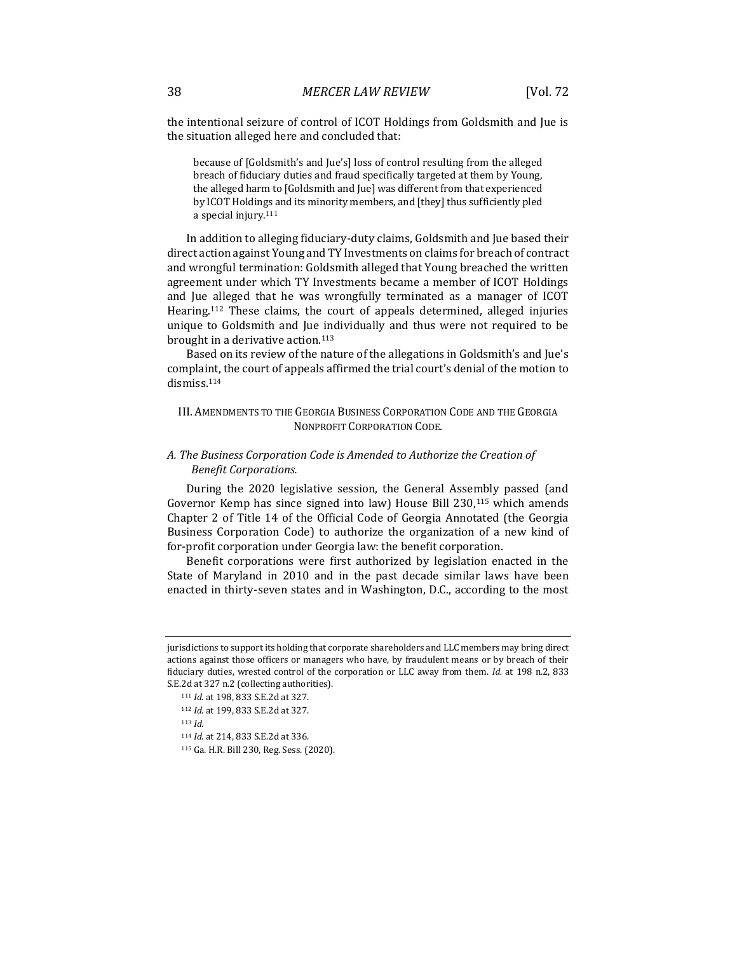the intentional seizure of control of ICOT Holdings from Goldsmith and Jue is the situation alleged here and concluded that:

because of [Goldsmith's and Jue's] loss of control resulting from the alleged breach of fiduciary duties and fraud specifically targeted at them by Young, the alleged harm to [Goldsmith and Jue] was different from that experienced by ICOT Holdings and its minority members, and [they] thus sufficiently pled a special injury.<sup>111</sup>

In addition to alleging fiduciary-duty claims, Goldsmith and Jue based their direct action against Young and TY Investments on claims for breach of contract and wrongful termination: Goldsmith alleged that Young breached the written agreement under which TY Investments became a member of ICOT Holdings and Jue alleged that he was wrongfully terminated as a manager of ICOT Hearing.<sup>112</sup> These claims, the court of appeals determined, alleged injuries unique to Goldsmith and Jue individually and thus were not required to be brought in a derivative action.<sup>113</sup>

Based on its review of the nature of the allegations in Goldsmith's and Jue's complaint, the court of appeals affirmed the trial court's denial of the motion to dismiss.<sup>114</sup>

#### III. AMENDMENTS TO THE GEORGIA BUSINESS CORPORATION CODE AND THE GEORGIA NONPROFIT CORPORATION CODE.

### *A. The Business Corporation Code is Amended to Authorize the Creation of Benefit Corporations.*

During the 2020 legislative session, the General Assembly passed (and Governor Kemp has since signed into law) House Bill 230,<sup>115</sup> which amends Chapter 2 of Title 14 of the Official Code of Georgia Annotated (the Georgia Business Corporation Code) to authorize the organization of a new kind of for-profit corporation under Georgia law: the benefit corporation.

Benefit corporations were first authorized by legislation enacted in the State of Maryland in 2010 and in the past decade similar laws have been enacted in thirty-seven states and in Washington, D.C., according to the most

- <sup>113</sup> *Id.*
- <sup>114</sup> *Id.* at 214, 833 S.E.2d at 336.

jurisdictions to support its holding that corporate shareholders and LLC members may bring direct actions against those officers or managers who have, by fraudulent means or by breach of their fiduciary duties, wrested control of the corporation or LLC away from them. *Id.* at 198 n.2, 833 S.E.2d at 327 n.2 (collecting authorities).

<sup>111</sup> *Id.* at 198, 833 S.E.2d at 327.

<sup>112</sup> *Id.* at 199, 833 S.E.2d at 327.

<sup>115</sup> Ga. H.R. Bill 230, Reg. Sess. (2020).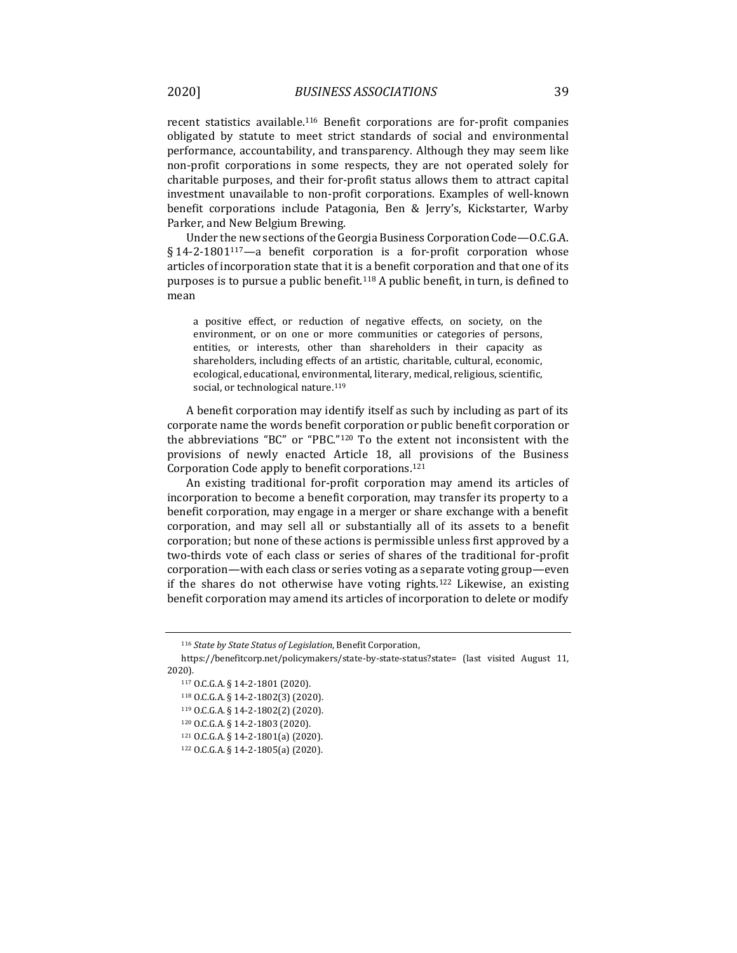recent statistics available.<sup>116</sup> Benefit corporations are for-profit companies obligated by statute to meet strict standards of social and environmental performance, accountability, and transparency. Although they may seem like non-profit corporations in some respects, they are not operated solely for charitable purposes, and their for-profit status allows them to attract capital investment unavailable to non-profit corporations. Examples of well-known benefit corporations include Patagonia, Ben & Jerry's, Kickstarter, Warby Parker, and New Belgium Brewing.

Under the new sections of the Georgia Business Corporation Code—O.C.G.A. § 14-2-1801117*—*a benefit corporation is a for-profit corporation whose articles of incorporation state that it is a benefit corporation and that one of its purposes is to pursue a public benefit.<sup>118</sup> A public benefit, in turn, is defined to mean

a positive effect, or reduction of negative effects, on society, on the environment, or on one or more communities or categories of persons, entities, or interests, other than shareholders in their capacity as shareholders, including effects of an artistic, charitable, cultural, economic, ecological, educational, environmental, literary, medical, religious, scientific, social, or technological nature.<sup>119</sup>

A benefit corporation may identify itself as such by including as part of its corporate name the words benefit corporation or public benefit corporation or the abbreviations "BC" or "PBC."<sup>120</sup> To the extent not inconsistent with the provisions of newly enacted Article 18, all provisions of the Business Corporation Code apply to benefit corporations.<sup>121</sup>

An existing traditional for-profit corporation may amend its articles of incorporation to become a benefit corporation, may transfer its property to a benefit corporation, may engage in a merger or share exchange with a benefit corporation, and may sell all or substantially all of its assets to a benefit corporation; but none of these actions is permissible unless first approved by a two-thirds vote of each class or series of shares of the traditional for-profit corporation—with each class or series voting as a separate voting group—even if the shares do not otherwise have voting rights.<sup>122</sup> Likewise, an existing benefit corporation may amend its articles of incorporation to delete or modify

<sup>116</sup> *State by State Status of Legislation*, Benefit Corporation,

https://benefitcorp.net/policymakers/state-by-state-status?state= (last visited August 11, 2020).

<sup>117</sup> O.C.G.A. § 14-2-1801 (2020). <sup>118</sup> O.C.G.A. § 14-2-1802(3) (2020). <sup>119</sup> O.C.G.A. § 14-2-1802(2) (2020). <sup>120</sup> O.C.G.A. § 14-2-1803 (2020).

<sup>121</sup> O.C.G.A. § 14-2-1801(a) (2020).

<sup>122</sup> O.C.G.A. § 14-2-1805(a) (2020).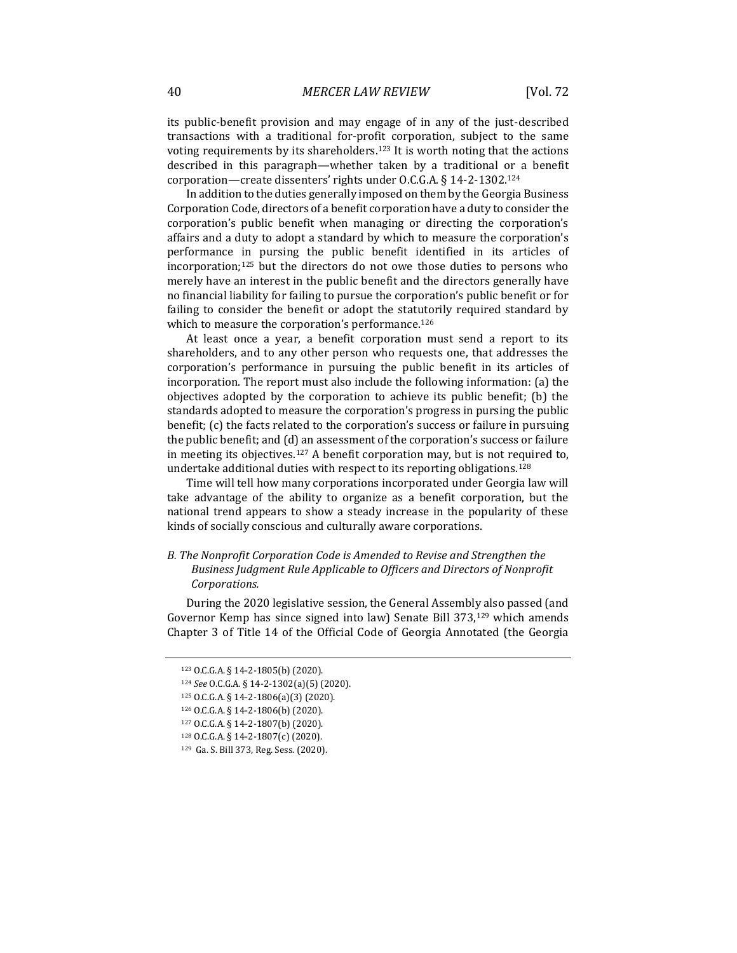its public-benefit provision and may engage of in any of the just-described transactions with a traditional for-profit corporation, subject to the same voting requirements by its shareholders.<sup>123</sup> It is worth noting that the actions described in this paragraph—whether taken by a traditional or a benefit corporation—create dissenters' rights under O.C.G.A. § 14-2-1302.<sup>124</sup>

In addition to the duties generally imposed on them by the Georgia Business Corporation Code, directors of a benefit corporation have a duty to consider the corporation's public benefit when managing or directing the corporation's affairs and a duty to adopt a standard by which to measure the corporation's performance in pursing the public benefit identified in its articles of incorporation;<sup>125</sup> but the directors do not owe those duties to persons who merely have an interest in the public benefit and the directors generally have no financial liability for failing to pursue the corporation's public benefit or for failing to consider the benefit or adopt the statutorily required standard by which to measure the corporation's performance.<sup>126</sup>

At least once a year, a benefit corporation must send a report to its shareholders, and to any other person who requests one, that addresses the corporation's performance in pursuing the public benefit in its articles of incorporation. The report must also include the following information: (a) the objectives adopted by the corporation to achieve its public benefit; (b) the standards adopted to measure the corporation's progress in pursing the public benefit; (c) the facts related to the corporation's success or failure in pursuing the public benefit; and (d) an assessment of the corporation's success or failure in meeting its objectives.<sup>127</sup> A benefit corporation may, but is not required to, undertake additional duties with respect to its reporting obligations.<sup>128</sup>

Time will tell how many corporations incorporated under Georgia law will take advantage of the ability to organize as a benefit corporation, but the national trend appears to show a steady increase in the popularity of these kinds of socially conscious and culturally aware corporations.

### *B. The Nonprofit Corporation Code is Amended to Revise and Strengthen the Business Judgment Rule Applicable to Officers and Directors of Nonprofit Corporations.*

During the 2020 legislative session, the General Assembly also passed (and Governor Kemp has since signed into law) Senate Bill 373,<sup>129</sup> which amends Chapter 3 of Title 14 of the Official Code of Georgia Annotated (the Georgia

<sup>123</sup> O.C.G.A. § 14-2-1805(b) (2020).

<sup>124</sup> *See* O.C.G.A. § 14-2-1302(a)(5) (2020).

<sup>125</sup> O.C.G.A. § 14-2-1806(a)(3) (2020).

<sup>126</sup> O.C.G.A. § 14-2-1806(b) (2020).

<sup>127</sup> O.C.G.A. § 14-2-1807(b) (2020).

<sup>128</sup> O.C.G.A. § 14-2-1807(c) (2020).

<sup>129</sup> Ga. S. Bill 373, Reg. Sess. (2020).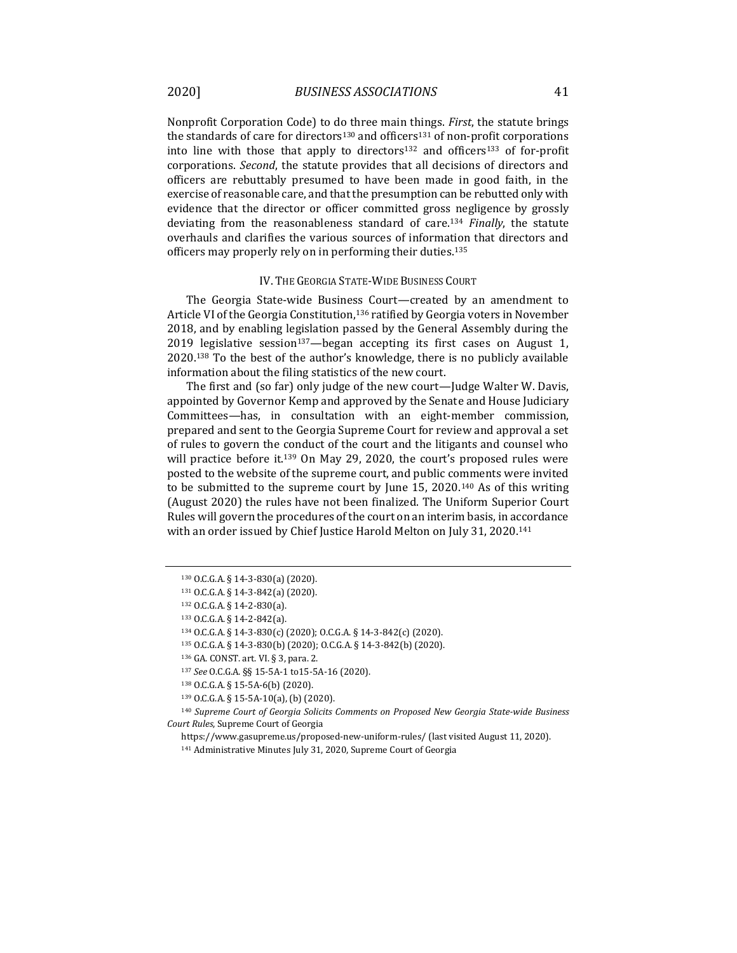Nonprofit Corporation Code) to do three main things. *First*, the statute brings the standards of care for directors<sup>130</sup> and officers<sup>131</sup> of non-profit corporations into line with those that apply to directors<sup>132</sup> and officers<sup>133</sup> of for-profit corporations. *Second*, the statute provides that all decisions of directors and officers are rebuttably presumed to have been made in good faith, in the exercise of reasonable care, and that the presumption can be rebutted only with evidence that the director or officer committed gross negligence by grossly deviating from the reasonableness standard of care.<sup>134</sup> *Finally*, the statute overhauls and clarifies the various sources of information that directors and officers may properly rely on in performing their duties.<sup>135</sup>

#### IV. THE GEORGIA STATE-WIDE BUSINESS COURT

The Georgia State-wide Business Court—created by an amendment to Article VI of the Georgia Constitution,<sup>136</sup> ratified by Georgia voters in November 2018, and by enabling legislation passed by the General Assembly during the 2019 legislative session<sup>137</sup>—began accepting its first cases on August 1, 2020.<sup>138</sup> To the best of the author's knowledge, there is no publicly available information about the filing statistics of the new court.

The first and (so far) only judge of the new court—Judge Walter W. Davis, appointed by Governor Kemp and approved by the Senate and House Judiciary Committees—has, in consultation with an eight-member commission, prepared and sent to the Georgia Supreme Court for review and approval a set of rules to govern the conduct of the court and the litigants and counsel who will practice before it.<sup>139</sup> On May 29, 2020, the court's proposed rules were posted to the website of the supreme court, and public comments were invited to be submitted to the supreme court by June 15, 2020.<sup>140</sup> As of this writing (August 2020) the rules have not been finalized. The Uniform Superior Court Rules will govern the procedures of the court on an interim basis, in accordance with an order issued by Chief Justice Harold Melton on July 31, 2020.<sup>141</sup>

<sup>130</sup> O.C.G.A. § 14-3-830(a) (2020).

<sup>131</sup> O.C.G.A. § 14-3-842(a) (2020).

<sup>132</sup> O.C.G.A. § 14-2-830(a).

<sup>133</sup> O.C.G.A. § 14-2-842(a).

<sup>134</sup> O.C.G.A. § 14-3-830(c) (2020); O.C.G.A. § 14-3-842(c) (2020).

<sup>135</sup> O.C.G.A. § 14-3-830(b) (2020); O.C.G.A. § 14-3-842(b) (2020).

<sup>136</sup> GA. CONST. art. VI. § 3, para. 2.

<sup>137</sup> *See* O.C.G.A. §§ 15-5A-1 to15-5A-16 (2020).

<sup>138</sup> O.C.G.A. § 15-5A-6(b) (2020).

<sup>139</sup> O.C.G.A. § 15-5A-10(a), (b) (2020).

<sup>140</sup> *Supreme Court of Georgia Solicits Comments on Proposed New Georgia State-wide Business Court Rules*, Supreme Court of Georgia

https://www.gasupreme.us/proposed-new-uniform-rules/ (last visited August 11, 2020).

<sup>141</sup> Administrative Minutes July 31, 2020, Supreme Court of Georgia